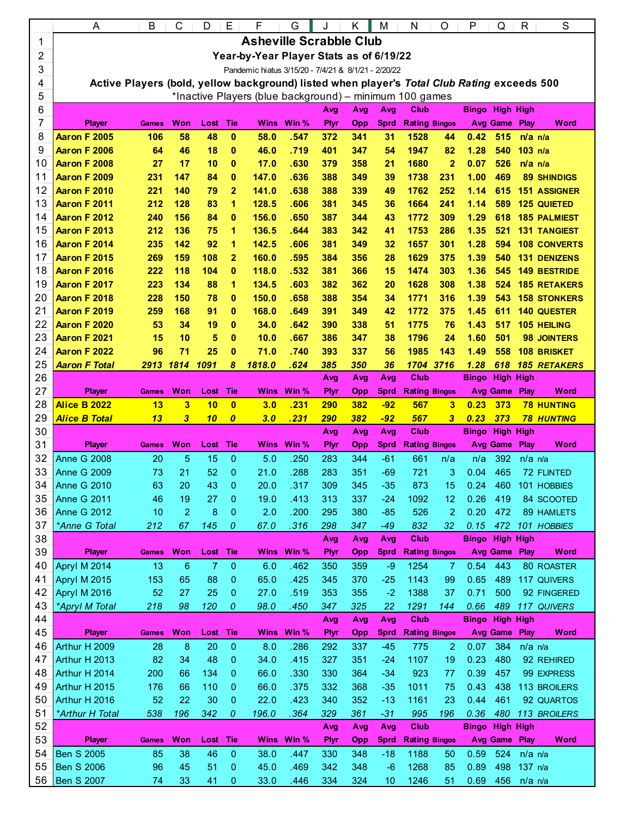|                | Α                                                                                           | В            | C              | D        | Е                          | F                                                       | G            |             | κ          | M           | N                    | O                 | P                      | Q                | R                  | S                    |
|----------------|---------------------------------------------------------------------------------------------|--------------|----------------|----------|----------------------------|---------------------------------------------------------|--------------|-------------|------------|-------------|----------------------|-------------------|------------------------|------------------|--------------------|----------------------|
| 1              |                                                                                             |              |                |          |                            | <b>Asheville Scrabble Club</b>                          |              |             |            |             |                      |                   |                        |                  |                    |                      |
| $\overline{2}$ |                                                                                             |              |                |          |                            | Year-by-Year Player Stats as of 6/19/22                 |              |             |            |             |                      |                   |                        |                  |                    |                      |
| 3              |                                                                                             |              |                |          |                            | Pandemic hiatus 3/15/20 - 7/4/21 & 8/1/21 - 2/20/22     |              |             |            |             |                      |                   |                        |                  |                    |                      |
| 4              | Active Players (bold, yellow background) listed when player's Total Club Rating exceeds 500 |              |                |          |                            |                                                         |              |             |            |             |                      |                   |                        |                  |                    |                      |
| 5              |                                                                                             |              |                |          |                            | *Inactive Players (blue background) – minimum 100 games |              |             |            |             |                      |                   |                        |                  |                    |                      |
| 6              |                                                                                             |              |                |          |                            |                                                         |              | Avg         | Avg        | Avg         | Club                 |                   | <b>Bingo High High</b> |                  |                    |                      |
| 7              | <b>Player</b>                                                                               | <b>Games</b> | Won            | Lost     | Tie                        |                                                         | Wins Win %   | <b>Plyr</b> | Opp        | <b>Sprd</b> | <b>Rating Bingos</b> |                   |                        | Avg Game Play    |                    | Word                 |
| 8              | Aaron F 2005                                                                                | 106          | 58             | 48       | 0                          | 58.0                                                    | .547         | 372         | 341        | 31          | 1528                 | 44                | 0.42                   | 515              | $n/a$ $n/a$        |                      |
| 9              | Aaron F 2006                                                                                | 64           | 46             | 18       | 0                          | 46.0                                                    | .719         | 401         | 347        | 54          | 1947                 | 82                | 1.28                   | 540              | $103$ n/a          |                      |
| 10             | <b>Aaron F 2008</b>                                                                         | 27           | 17             | 10       | 0                          | 17.0                                                    | .630         | 379         | 358        | 21          | 1680                 | $\mathbf{2}$      | 0.07                   | 526              | $n/a$ $n/a$        |                      |
| 11             | <b>Aaron F 2009</b>                                                                         | 231          | 147            | 84       | 0                          | 147.0                                                   | .636         | 388         | 349        | 39          | 1738                 | 231               | 1.00                   | 469              |                    | <b>89 SHINDIGS</b>   |
| 12             | <b>Aaron F 2010</b>                                                                         | 221          | 140            | 79       | 2                          | 141.0                                                   | .638         | 388         | 339        | 49          | 1762                 | 252               | 1.14                   | 615              |                    | <b>151 ASSIGNER</b>  |
| 13             | <b>Aaron F 2011</b>                                                                         | 212          | 128            | 83       | 1                          | 128.5                                                   | .606         | 381         | 345        | 36          | 1664                 | 241               | 1.14                   | 589              |                    | <b>125 QUIETED</b>   |
| 14             | <b>Aaron F 2012</b>                                                                         | 240          | 156            | 84       | 0                          | 156.0                                                   | .650         | 387         | 344        | 43          | 1772                 | 309               | 1.29                   | 618              |                    | <b>185 PALMIEST</b>  |
| 15             | <b>Aaron F 2013</b>                                                                         | 212          | 136            | 75       | 1                          | 136.5                                                   | .644         | 383         | 342        | 41          | 1753                 | 286               | 1.35                   | 521              |                    | <b>131 TANGIEST</b>  |
| 16             | <b>Aaron F 2014</b>                                                                         | 235          | 142            | 92       | 1                          | 142.5                                                   | .606         | 381         | 349        | 32          | 1657                 | 301               | 1.28                   | 594              |                    | <b>108 CONVERTS</b>  |
| 17             | <b>Aaron F 2015</b>                                                                         | 269          | 159            | 108      | 2                          | 160.0                                                   | .595         | 384         | 356        | 28          | 1629                 | 375               | 1.39                   | 540              |                    | <b>131 DENIZENS</b>  |
| 18             | <b>Aaron F 2016</b>                                                                         | 222          | 118            | 104      | 0                          | 118.0                                                   | .532         | 381         | 366        | 15          | 1474                 | 303               | 1.36                   | 545              |                    | <b>149 BESTRIDE</b>  |
| 19             | Aaron F 2017                                                                                | 223          | 134            | 88       | 1                          | 134.5                                                   | .603         | 382         | 362        | 20          | 1628                 | 308               | 1.38                   | 524              |                    | <b>185 RETAKERS</b>  |
| 20             | <b>Aaron F 2018</b>                                                                         | 228          | 150            | 78       | 0                          | 150.0                                                   | .658         | 388         | 354        | 34          | 1771                 | 316               | 1.39                   | 543              |                    | <b>158 STONKERS</b>  |
| 21             | <b>Aaron F 2019</b>                                                                         | 259          | 168            | 91       | 0                          | 168.0                                                   | .649         | 391         | 349        | 42          | 1772                 | 375               | 1.45                   | 611              |                    | <b>140 QUESTER</b>   |
| 22             | <b>Aaron F 2020</b>                                                                         | 53           | 34             | 19       | 0                          | 34.0                                                    | .642         | 390         | 338        | 51          | 1775                 | 76                | 1.43                   | 517              |                    | <b>105 HEILING</b>   |
| 23             | <b>Aaron F 2021</b>                                                                         | 15           | 10             | 5        | 0                          | 10.0                                                    | .667         | 386         | 347        | 38          | 1796                 | 24                | 1.60                   | 501              |                    | 98 JOINTERS          |
| 24             | Aaron F 2022                                                                                | 96           | 71             | 25       | 0                          | 71.0                                                    | .740         | 393         | 337        | 56          | 1985                 | 143               | 1.49                   | 558              |                    | 108 BRISKET          |
| 25             | <b>Aaron F Total</b>                                                                        | 2913 1814    |                | 1091     | 8                          | 1818.0                                                  | .624         | 385         | 350        | 36          | 1704 3716            |                   | 1.28                   | 618              |                    | <b>185 RETAKERS</b>  |
| 26             |                                                                                             |              |                |          |                            |                                                         |              | Avg         | Avg        | Avg         | <b>Club</b>          |                   | <b>Bingo</b>           | <b>High High</b> |                    |                      |
| 27             | <b>Player</b>                                                                               | <b>Games</b> | Won            | Lost     | Tie                        | Wins                                                    | Win %        | <b>Plyr</b> | Opp        | <b>Sprd</b> | <b>Rating Bingos</b> |                   | Avg                    | Game             | Play               | Word                 |
|                |                                                                                             |              |                |          |                            |                                                         |              |             |            |             |                      |                   |                        |                  |                    |                      |
| 28             | Alice B 2022                                                                                | 13           | 3              | 10       | $\bf{0}$                   | 3.0                                                     | .231         | 290         | 382        | $-92$       | 567                  | 3                 | 0.23                   | 373              |                    | <b>78 HUNTING</b>    |
| 29             | <b>Alice B Total</b>                                                                        | 13           | 3              | 10       | $\boldsymbol{o}$           | 3.0                                                     | .231         | <b>290</b>  | 382        | $-92$       | 567                  | 3                 | 0.23                   | 373              |                    | <b>78 HUNTING</b>    |
| 30             |                                                                                             |              |                |          |                            |                                                         |              | Avg         | Avg        | Avg         | <b>Club</b>          |                   | <b>Bingo High High</b> |                  |                    |                      |
| 31             | <b>Player</b>                                                                               | <b>Games</b> | Won            | Lost     | Tie                        | Wins                                                    | Win %        | <b>Plyr</b> | Opp        | <b>Sprd</b> | <b>Rating Bingos</b> |                   |                        | Avg Game Play    |                    | Word                 |
| 32             | <b>Anne G 2008</b>                                                                          | 20           | 5              | 15       | $\mathbf{0}$               | 5.0                                                     | .250         | 283         | 344        | $-61$       | 661                  | n/a               | n/a                    | 392              | $n/a$ $n/a$        |                      |
| 33             | <b>Anne G 2009</b>                                                                          | 73           | 21             | 52       | $\mathbf 0$                | 21.0                                                    | .288         | 283         | 351        | $-69$       | 721                  | 3                 | 0.04                   | 465              |                    | 72 FLINTED           |
| 34             | <b>Anne G 2010</b>                                                                          | 63           | 20             | 43       | $\overline{0}$             | 20.0                                                    | .317         | 309         | 345        | $-35$       | 873                  | 15                |                        |                  |                    | 0.24 460 101 HOBBIES |
| 35             | <b>Anne G 2011</b>                                                                          | 46           | 19             | 27       | $\bf{0}$                   | 19.0                                                    | .413         | 313         | 337        | $-24$       | 1092                 | $12 \overline{ }$ | 0.26                   | 419              |                    | 84 SCOOTED           |
| 36             | <b>Anne G 2012</b>                                                                          | 10           | $\overline{2}$ | 8        | $\mathbf 0$                | 2.0                                                     | .200         | 295         | 380        | $-85$       | 526                  | 2                 | 0.20                   | 472              |                    | 89 HAMLETS           |
| 37             | *Anne G Total                                                                               | 212          | 67             | 145      | 0                          | 67.0                                                    | .316         | 298         | 347        | $-49$       | 832                  | 32                |                        |                  |                    | 0.15 472 101 HOBBIES |
| 38             |                                                                                             |              |                |          |                            |                                                         |              | Avg         | Avg        | Avg         | <b>Club</b>          |                   | <b>Bingo High High</b> |                  |                    |                      |
| 39             | <b>Player</b>                                                                               | <b>Games</b> | Won            | Lost     | Tie                        |                                                         | Wins Win %   | <b>Plyr</b> | Opp        | <b>Sprd</b> | <b>Rating Bingos</b> |                   |                        | Avg Game Play    |                    | Word                 |
| 40             | Apryl M 2014                                                                                | 13           | 6              | 7        | $\mathbf{0}$               | 6.0                                                     | .462         | 350         | 359        | $-9$        | 1254                 | -7.               | 0.54                   | 443              |                    | 80 ROASTER           |
| 41             | Apryl M 2015                                                                                | 153          | 65             | 88       | $\mathbf 0$                | 65.0                                                    | .425         | 345         | 370        | $-25$       | 1143                 | 99                | 0.65                   | 489              |                    | 117 QUIVERS          |
| 42             | Apryl M 2016                                                                                | 52           | 27             | 25       | $\mathbf 0$                | 27.0                                                    | .519         | 353         | 355        | $-2$        | 1388                 | 37                | 0.71                   | 500              |                    | 92 FINGERED          |
| 43             | *Apryl M Total                                                                              | 218          | 98             | 120      | 0                          | 98.0                                                    | .450         | 347         | 325        | 22          | 1291                 | 144               | 0.66                   | 489              |                    | 117 QUIVERS          |
| 44             |                                                                                             |              |                |          |                            |                                                         |              | Avg         | Avg        | Avg         | <b>Club</b>          |                   | <b>Bingo High High</b> |                  |                    |                      |
| 45             | <b>Player</b>                                                                               | <b>Games</b> | Won            | Lost     | Tie                        |                                                         | Wins Win %   | <b>Plyr</b> | <b>Opp</b> | <b>Sprd</b> | <b>Rating Bingos</b> |                   |                        | Avg Game Play    |                    | Word                 |
| 46             | Arthur H 2009                                                                               | 28           | 8              | 20       | $\mathbf 0$                | 8.0                                                     | .286         | 292         | 337        | $-45$       | 775                  | $\mathbf{2}$      | 0.07                   | 384              | $n/a$ $n/a$        |                      |
| 47             | Arthur H 2013                                                                               | 82           | 34             | 48       | $\mathbf 0$                | 34.0                                                    | .415         | 327         | 351        | $-24$       | 1107                 | 19                | 0.23                   | 480              |                    | 92 REHIRED           |
| 48             | Arthur H 2014                                                                               | 200          | 66             | 134      | $\mathbf 0$                | 66.0                                                    | .330         | 330         | 364        | $-34$       | 923                  | 77                | 0.39                   | 457              |                    | 99 EXPRESS           |
| 49             | Arthur H 2015                                                                               | 176          | 66             | 110      | $\mathbf 0$                | 66.0                                                    | .375         | 332         | 368        | $-35$       | 1011                 | 75                | 0.43                   | 438              |                    | 113 BROILERS         |
| 50             | Arthur H 2016                                                                               | 52           | 22             | 30       | $\mathbf 0$                | 22.0                                                    | .423         | 340         | 352        | $-13$       | 1161                 | 23                | 0.44                   | 461              |                    | 92 QUARTOS           |
| 51             | *Arthur H Total                                                                             | 538          | 196            | 342      | 0                          | 196.0                                                   | .364         | 329         | 361        | $-31$       | 995                  | 196               | 0.36                   | 480              |                    | 113 BROILERS         |
| 52             |                                                                                             |              |                |          |                            |                                                         |              | Avg         | Avg        | Avg         | <b>Club</b>          |                   | <b>Bingo High High</b> |                  |                    |                      |
| 53             | <b>Player</b>                                                                               | <b>Games</b> | Won            | Lost     | Tie                        |                                                         | Wins Win %   | <b>Plyr</b> | <b>Opp</b> | <b>Sprd</b> | <b>Rating Bingos</b> |                   |                        | Avg Game Play    |                    | <b>Word</b>          |
| 54             | <b>Ben S 2005</b>                                                                           | 85           | 38             | 46       | $\mathbf 0$                | 38.0                                                    | .447         | 330         | 348        | $-18$       | 1188                 | 50                | 0.59                   | 524              | $n/a$ $n/a$        |                      |
| 55<br>56       | <b>Ben S 2006</b><br><b>Ben S 2007</b>                                                      | 96<br>74     | 45<br>33       | 51<br>41 | $\mathbf 0$<br>$\mathbf 0$ | 45.0<br>33.0                                            | .469<br>.446 | 342<br>334  | 348<br>324 | $-6$<br>10  | 1268<br>1246         | 85<br>51          | 0.89<br>0.69           | 498<br>456       | 137 n/a<br>n/a n/a |                      |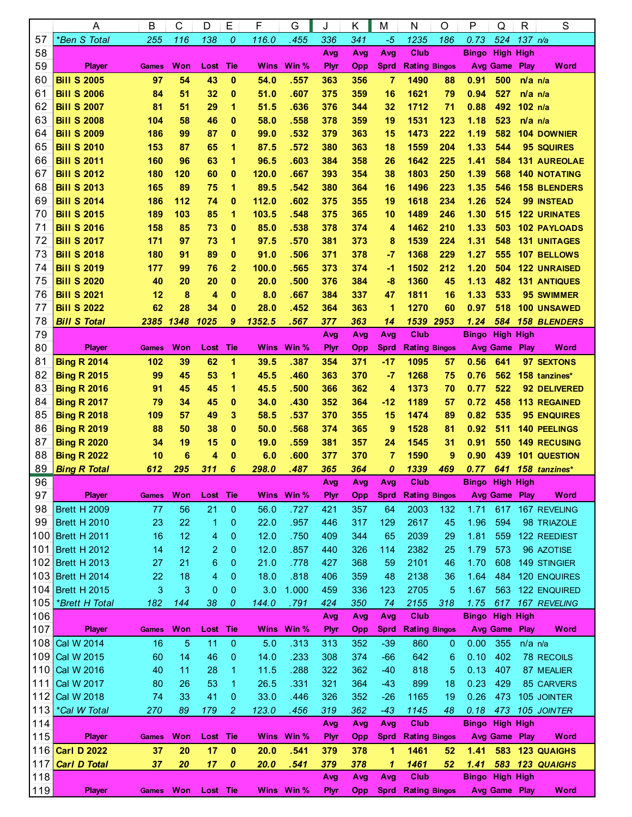| 57<br><i>*Ben S Total</i><br>.455<br>255<br>116<br>138<br>0<br>116.0<br>336<br>341<br>$-5$<br>1235<br>186<br>0.73<br>524<br>137 n/a<br>58<br>Club<br><b>Bingo High High</b><br>Avg<br>Avg<br>Avg<br>59<br><b>Tie</b><br>Wins Win %<br><b>Player</b><br>Won<br>Lost<br><b>Plyr</b><br><b>Rating Bingos</b><br>Play<br>Word<br><b>Opp</b><br>Sprd<br>Avg Game<br><b>Games</b><br>60<br>54<br><b>Bill S 2005</b><br>97<br>43<br>$\bf{0}$<br>54.0<br>.557<br>363<br>7<br>1490<br>0.91<br>500<br>356<br>88<br>$n/a$ $n/a$<br>61<br><b>Bill S 2006</b><br>51<br>32<br>51.0<br>.607<br>359<br>16<br>1621<br>0.94<br>527<br>84<br>$\bf{0}$<br>375<br>79<br>$n/a$ $n/a$<br>62<br><b>Bill S 2007</b><br>51<br>29<br>1<br>51.5<br>.636<br>376<br>344<br>32<br>1712<br>71<br>0.88<br>492<br>$102$ n/a<br>81<br>63<br><b>Bill S 2008</b><br>58<br>46<br>$\bf{0}$<br>58.0<br>.558<br>378<br>359<br>19<br>1531<br>123<br>1.18<br>523<br>104<br>$n/a$ n/a<br>64<br><b>Bill S 2009</b><br>99<br>87<br>99.0<br>.532<br>379<br>363<br>15<br>1473<br>222<br>1.19<br>582<br>186<br>$\bf{0}$<br><b>104 DOWNIER</b><br>65<br>1559<br><b>Bill S 2010</b><br>87<br>65<br>87.5<br>.572<br>380<br>363<br>18<br>204<br>1.33<br>544<br>95 SQUIRES<br>153<br>1<br>66<br><b>Bill S 2011</b><br>96<br>63<br>1<br>96.5<br>.603<br>384<br>358<br>26<br>1642<br>225<br>1.41<br>584<br>160<br><b>131 AUREOLAE</b><br>67<br><b>Bill S 2012</b><br>120<br>60<br>$\bf{0}$<br>120.0<br>.667<br>393<br>354<br>38<br>1803<br>250<br>1.39<br>568<br>180<br><b>140 NOTATING</b><br>68<br>89.5<br><b>Bill S 2013</b><br>89<br>75<br>1<br>.542<br>380<br>16<br>1496<br>223<br>1.35<br>546<br>165<br>364<br><b>158 BLENDERS</b><br>69<br><b>Bill S 2014</b><br>112<br>74<br>$\bf{0}$<br>112.0<br>.602<br>19<br>1618<br>234<br>1.26<br>524<br>186<br>375<br>355<br>99 INSTEAD<br>70<br><b>Bill S 2015</b><br>103<br>85<br>103.5<br>.548<br>1489<br>246<br>1.30<br>189<br>1<br>375<br>365<br>10<br>515<br><b>122 URINATES</b><br>71<br>85.0<br><b>Bill S 2016</b><br>85<br>73<br>$\bf{0}$<br>.538<br>378<br>374<br>1462<br>210<br>1.33<br>503<br>102 PAYLOADS<br>158<br>4<br>72<br><b>Bill S 2017</b><br>171<br>97<br>73<br>1<br>97.5<br>.570<br>381<br>373<br>1539<br>224<br>1.31<br>8<br>548<br><b>131 UNITAGES</b><br>73<br><b>Bill S 2018</b><br>91<br>89<br>$\bf{0}$<br>91.0<br>.506<br>371<br>378<br>1368<br>229<br>1.27<br>555<br>180<br>-7<br>107 BELLOWS<br>74<br>1.20<br>99<br>76<br>2<br>100.0<br>.565<br>373<br>374<br>1502<br>212<br>504<br><b>122 UNRAISED</b><br><b>Bill S 2019</b><br>177<br>-1<br>75<br><b>Bill S 2020</b><br>40<br>20<br>20<br>$\bf{0}$<br>20.0<br>.500<br>376<br>384<br>$-8$<br>1360<br>45<br>1.13<br>482<br><b>131 ANTIQUES</b><br>76<br><b>Bill S 2021</b><br>12<br>8<br>8.0<br>.667<br>384<br>337<br>1811<br>16<br>1.33<br>533<br>4<br>$\bf{0}$<br>47<br>95 SWIMMER<br>77<br>62<br>28<br>1270<br><b>Bill S 2022</b><br>34<br>$\bf{0}$<br>28.0<br>.452<br>363<br>60<br>0.97<br>364<br>1<br>518<br><b>100 UNSAWED</b><br>78<br><b>Bill S Total</b><br>2385<br>1348<br>1025<br>9<br>1352.5<br>.567<br>1539<br>2953<br>1.24<br>584<br>377<br>363<br>14<br><b>158 BLENDERS</b><br>79<br>Club<br><b>High High</b><br>Avg<br><b>Bingo</b><br>Avg<br>Avg<br>80<br>Win $%$<br>Won<br>Tie<br>Wins<br><b>Plyr</b><br>Word<br><b>Player</b><br>Lost<br><b>Opp</b><br><b>Sprd</b><br><b>Rating Bingos</b><br>Avg Game<br><b>Play</b><br><b>Games</b><br>81<br>.387<br>1095<br>0.56<br><b>Bing R 2014</b><br>102<br>39<br>62<br>1<br>39.5<br>354<br>371<br>-17<br>57<br>641<br>97 SEXTONS<br>82<br>53<br>45.5<br>370<br>1268<br><b>Bing R 2015</b><br>99<br>45<br>1<br>.460<br>363<br>-7<br>75<br>0.76<br>562<br>158 tanzines*<br>83<br>45<br>45<br>45.5<br>.500<br>362<br>1373<br>70<br>0.77<br>522<br>92 DELIVERED<br><b>Bing R 2016</b><br>91<br>1<br>366<br>4<br>84<br>45<br>34.0<br>.430<br>352<br>$-12$<br>1189<br>57<br>0.72<br><b>113 REGAINED</b><br><b>Bing R 2017</b><br>79<br>34<br>$\bf{0}$<br>364<br>458<br>85<br>57<br>49<br>3<br>58.5<br>.537<br>370<br>355<br>15<br>1474<br>89<br>0.82<br>535<br><b>Bing R 2018</b><br>109<br><b>95 ENQUIRES</b><br>86<br>50<br>38<br>$\bf{0}$<br>50.0<br>.568<br>374<br>365<br>9<br>1528<br>81<br>0.92<br>511<br><b>Bing R 2019</b><br>88<br><b>140 PEELINGS</b><br>87<br>19<br>15<br>$\bf{0}$<br>19.0<br>.559<br>381<br>357<br>1545<br>31<br>0.91<br>550<br><b>Bing R 2020</b><br>34<br>24<br><b>149 RECUSING</b><br>88<br>6<br>6.0<br>370<br>7<br>1590<br>0.90<br>439<br><b>Bing R 2022</b><br>10<br>4<br>$\bf{0}$<br>.600<br>377<br>9<br><b>101 QUESTION</b><br>89<br>0<br>1339<br>469<br>612<br>295<br>311<br>6<br>298.0<br>.487<br>365<br>364<br>0.77<br>641<br>158 tanzines*<br><b>Bing R Total</b><br>96<br>Club<br><b>High High</b><br>Avg<br><b>Bingo</b><br>Avg<br>Avg |
|-----------------------------------------------------------------------------------------------------------------------------------------------------------------------------------------------------------------------------------------------------------------------------------------------------------------------------------------------------------------------------------------------------------------------------------------------------------------------------------------------------------------------------------------------------------------------------------------------------------------------------------------------------------------------------------------------------------------------------------------------------------------------------------------------------------------------------------------------------------------------------------------------------------------------------------------------------------------------------------------------------------------------------------------------------------------------------------------------------------------------------------------------------------------------------------------------------------------------------------------------------------------------------------------------------------------------------------------------------------------------------------------------------------------------------------------------------------------------------------------------------------------------------------------------------------------------------------------------------------------------------------------------------------------------------------------------------------------------------------------------------------------------------------------------------------------------------------------------------------------------------------------------------------------------------------------------------------------------------------------------------------------------------------------------------------------------------------------------------------------------------------------------------------------------------------------------------------------------------------------------------------------------------------------------------------------------------------------------------------------------------------------------------------------------------------------------------------------------------------------------------------------------------------------------------------------------------------------------------------------------------------------------------------------------------------------------------------------------------------------------------------------------------------------------------------------------------------------------------------------------------------------------------------------------------------------------------------------------------------------------------------------------------------------------------------------------------------------------------------------------------------------------------------------------------------------------------------------------------------------------------------------------------------------------------------------------------------------------------------------------------------------------------------------------------------------------------------------------------------------------------------------------------------------------------------------------------------------------------------------------------------------------------------------------------------------------------------------------------------------------------------------------------------------------------------------------------------------------------------------------------------------------------------------------------------------------------------------------------------------------------------------------------------------------------------------------------------------------------------------------------------------------------------------------------------------------------------------------------------------------------------------------------------------------------------------------------------------------------------------------------------------------------------------------------------------------------------------------------------------------------------------------------------------------------------------------------------------------------------------------------------------------------------------------------------------------------------------------------------------------------------------------------------------------------------|
|                                                                                                                                                                                                                                                                                                                                                                                                                                                                                                                                                                                                                                                                                                                                                                                                                                                                                                                                                                                                                                                                                                                                                                                                                                                                                                                                                                                                                                                                                                                                                                                                                                                                                                                                                                                                                                                                                                                                                                                                                                                                                                                                                                                                                                                                                                                                                                                                                                                                                                                                                                                                                                                                                                                                                                                                                                                                                                                                                                                                                                                                                                                                                                                                                                                                                                                                                                                                                                                                                                                                                                                                                                                                                                                                                                                                                                                                                                                                                                                                                                                                                                                                                                                                                                                                                                                                                                                                                                                                                                                                                                                                                                                                                                                                                                                                           |
|                                                                                                                                                                                                                                                                                                                                                                                                                                                                                                                                                                                                                                                                                                                                                                                                                                                                                                                                                                                                                                                                                                                                                                                                                                                                                                                                                                                                                                                                                                                                                                                                                                                                                                                                                                                                                                                                                                                                                                                                                                                                                                                                                                                                                                                                                                                                                                                                                                                                                                                                                                                                                                                                                                                                                                                                                                                                                                                                                                                                                                                                                                                                                                                                                                                                                                                                                                                                                                                                                                                                                                                                                                                                                                                                                                                                                                                                                                                                                                                                                                                                                                                                                                                                                                                                                                                                                                                                                                                                                                                                                                                                                                                                                                                                                                                                           |
|                                                                                                                                                                                                                                                                                                                                                                                                                                                                                                                                                                                                                                                                                                                                                                                                                                                                                                                                                                                                                                                                                                                                                                                                                                                                                                                                                                                                                                                                                                                                                                                                                                                                                                                                                                                                                                                                                                                                                                                                                                                                                                                                                                                                                                                                                                                                                                                                                                                                                                                                                                                                                                                                                                                                                                                                                                                                                                                                                                                                                                                                                                                                                                                                                                                                                                                                                                                                                                                                                                                                                                                                                                                                                                                                                                                                                                                                                                                                                                                                                                                                                                                                                                                                                                                                                                                                                                                                                                                                                                                                                                                                                                                                                                                                                                                                           |
|                                                                                                                                                                                                                                                                                                                                                                                                                                                                                                                                                                                                                                                                                                                                                                                                                                                                                                                                                                                                                                                                                                                                                                                                                                                                                                                                                                                                                                                                                                                                                                                                                                                                                                                                                                                                                                                                                                                                                                                                                                                                                                                                                                                                                                                                                                                                                                                                                                                                                                                                                                                                                                                                                                                                                                                                                                                                                                                                                                                                                                                                                                                                                                                                                                                                                                                                                                                                                                                                                                                                                                                                                                                                                                                                                                                                                                                                                                                                                                                                                                                                                                                                                                                                                                                                                                                                                                                                                                                                                                                                                                                                                                                                                                                                                                                                           |
|                                                                                                                                                                                                                                                                                                                                                                                                                                                                                                                                                                                                                                                                                                                                                                                                                                                                                                                                                                                                                                                                                                                                                                                                                                                                                                                                                                                                                                                                                                                                                                                                                                                                                                                                                                                                                                                                                                                                                                                                                                                                                                                                                                                                                                                                                                                                                                                                                                                                                                                                                                                                                                                                                                                                                                                                                                                                                                                                                                                                                                                                                                                                                                                                                                                                                                                                                                                                                                                                                                                                                                                                                                                                                                                                                                                                                                                                                                                                                                                                                                                                                                                                                                                                                                                                                                                                                                                                                                                                                                                                                                                                                                                                                                                                                                                                           |
|                                                                                                                                                                                                                                                                                                                                                                                                                                                                                                                                                                                                                                                                                                                                                                                                                                                                                                                                                                                                                                                                                                                                                                                                                                                                                                                                                                                                                                                                                                                                                                                                                                                                                                                                                                                                                                                                                                                                                                                                                                                                                                                                                                                                                                                                                                                                                                                                                                                                                                                                                                                                                                                                                                                                                                                                                                                                                                                                                                                                                                                                                                                                                                                                                                                                                                                                                                                                                                                                                                                                                                                                                                                                                                                                                                                                                                                                                                                                                                                                                                                                                                                                                                                                                                                                                                                                                                                                                                                                                                                                                                                                                                                                                                                                                                                                           |
|                                                                                                                                                                                                                                                                                                                                                                                                                                                                                                                                                                                                                                                                                                                                                                                                                                                                                                                                                                                                                                                                                                                                                                                                                                                                                                                                                                                                                                                                                                                                                                                                                                                                                                                                                                                                                                                                                                                                                                                                                                                                                                                                                                                                                                                                                                                                                                                                                                                                                                                                                                                                                                                                                                                                                                                                                                                                                                                                                                                                                                                                                                                                                                                                                                                                                                                                                                                                                                                                                                                                                                                                                                                                                                                                                                                                                                                                                                                                                                                                                                                                                                                                                                                                                                                                                                                                                                                                                                                                                                                                                                                                                                                                                                                                                                                                           |
|                                                                                                                                                                                                                                                                                                                                                                                                                                                                                                                                                                                                                                                                                                                                                                                                                                                                                                                                                                                                                                                                                                                                                                                                                                                                                                                                                                                                                                                                                                                                                                                                                                                                                                                                                                                                                                                                                                                                                                                                                                                                                                                                                                                                                                                                                                                                                                                                                                                                                                                                                                                                                                                                                                                                                                                                                                                                                                                                                                                                                                                                                                                                                                                                                                                                                                                                                                                                                                                                                                                                                                                                                                                                                                                                                                                                                                                                                                                                                                                                                                                                                                                                                                                                                                                                                                                                                                                                                                                                                                                                                                                                                                                                                                                                                                                                           |
|                                                                                                                                                                                                                                                                                                                                                                                                                                                                                                                                                                                                                                                                                                                                                                                                                                                                                                                                                                                                                                                                                                                                                                                                                                                                                                                                                                                                                                                                                                                                                                                                                                                                                                                                                                                                                                                                                                                                                                                                                                                                                                                                                                                                                                                                                                                                                                                                                                                                                                                                                                                                                                                                                                                                                                                                                                                                                                                                                                                                                                                                                                                                                                                                                                                                                                                                                                                                                                                                                                                                                                                                                                                                                                                                                                                                                                                                                                                                                                                                                                                                                                                                                                                                                                                                                                                                                                                                                                                                                                                                                                                                                                                                                                                                                                                                           |
|                                                                                                                                                                                                                                                                                                                                                                                                                                                                                                                                                                                                                                                                                                                                                                                                                                                                                                                                                                                                                                                                                                                                                                                                                                                                                                                                                                                                                                                                                                                                                                                                                                                                                                                                                                                                                                                                                                                                                                                                                                                                                                                                                                                                                                                                                                                                                                                                                                                                                                                                                                                                                                                                                                                                                                                                                                                                                                                                                                                                                                                                                                                                                                                                                                                                                                                                                                                                                                                                                                                                                                                                                                                                                                                                                                                                                                                                                                                                                                                                                                                                                                                                                                                                                                                                                                                                                                                                                                                                                                                                                                                                                                                                                                                                                                                                           |
|                                                                                                                                                                                                                                                                                                                                                                                                                                                                                                                                                                                                                                                                                                                                                                                                                                                                                                                                                                                                                                                                                                                                                                                                                                                                                                                                                                                                                                                                                                                                                                                                                                                                                                                                                                                                                                                                                                                                                                                                                                                                                                                                                                                                                                                                                                                                                                                                                                                                                                                                                                                                                                                                                                                                                                                                                                                                                                                                                                                                                                                                                                                                                                                                                                                                                                                                                                                                                                                                                                                                                                                                                                                                                                                                                                                                                                                                                                                                                                                                                                                                                                                                                                                                                                                                                                                                                                                                                                                                                                                                                                                                                                                                                                                                                                                                           |
|                                                                                                                                                                                                                                                                                                                                                                                                                                                                                                                                                                                                                                                                                                                                                                                                                                                                                                                                                                                                                                                                                                                                                                                                                                                                                                                                                                                                                                                                                                                                                                                                                                                                                                                                                                                                                                                                                                                                                                                                                                                                                                                                                                                                                                                                                                                                                                                                                                                                                                                                                                                                                                                                                                                                                                                                                                                                                                                                                                                                                                                                                                                                                                                                                                                                                                                                                                                                                                                                                                                                                                                                                                                                                                                                                                                                                                                                                                                                                                                                                                                                                                                                                                                                                                                                                                                                                                                                                                                                                                                                                                                                                                                                                                                                                                                                           |
|                                                                                                                                                                                                                                                                                                                                                                                                                                                                                                                                                                                                                                                                                                                                                                                                                                                                                                                                                                                                                                                                                                                                                                                                                                                                                                                                                                                                                                                                                                                                                                                                                                                                                                                                                                                                                                                                                                                                                                                                                                                                                                                                                                                                                                                                                                                                                                                                                                                                                                                                                                                                                                                                                                                                                                                                                                                                                                                                                                                                                                                                                                                                                                                                                                                                                                                                                                                                                                                                                                                                                                                                                                                                                                                                                                                                                                                                                                                                                                                                                                                                                                                                                                                                                                                                                                                                                                                                                                                                                                                                                                                                                                                                                                                                                                                                           |
|                                                                                                                                                                                                                                                                                                                                                                                                                                                                                                                                                                                                                                                                                                                                                                                                                                                                                                                                                                                                                                                                                                                                                                                                                                                                                                                                                                                                                                                                                                                                                                                                                                                                                                                                                                                                                                                                                                                                                                                                                                                                                                                                                                                                                                                                                                                                                                                                                                                                                                                                                                                                                                                                                                                                                                                                                                                                                                                                                                                                                                                                                                                                                                                                                                                                                                                                                                                                                                                                                                                                                                                                                                                                                                                                                                                                                                                                                                                                                                                                                                                                                                                                                                                                                                                                                                                                                                                                                                                                                                                                                                                                                                                                                                                                                                                                           |
|                                                                                                                                                                                                                                                                                                                                                                                                                                                                                                                                                                                                                                                                                                                                                                                                                                                                                                                                                                                                                                                                                                                                                                                                                                                                                                                                                                                                                                                                                                                                                                                                                                                                                                                                                                                                                                                                                                                                                                                                                                                                                                                                                                                                                                                                                                                                                                                                                                                                                                                                                                                                                                                                                                                                                                                                                                                                                                                                                                                                                                                                                                                                                                                                                                                                                                                                                                                                                                                                                                                                                                                                                                                                                                                                                                                                                                                                                                                                                                                                                                                                                                                                                                                                                                                                                                                                                                                                                                                                                                                                                                                                                                                                                                                                                                                                           |
|                                                                                                                                                                                                                                                                                                                                                                                                                                                                                                                                                                                                                                                                                                                                                                                                                                                                                                                                                                                                                                                                                                                                                                                                                                                                                                                                                                                                                                                                                                                                                                                                                                                                                                                                                                                                                                                                                                                                                                                                                                                                                                                                                                                                                                                                                                                                                                                                                                                                                                                                                                                                                                                                                                                                                                                                                                                                                                                                                                                                                                                                                                                                                                                                                                                                                                                                                                                                                                                                                                                                                                                                                                                                                                                                                                                                                                                                                                                                                                                                                                                                                                                                                                                                                                                                                                                                                                                                                                                                                                                                                                                                                                                                                                                                                                                                           |
|                                                                                                                                                                                                                                                                                                                                                                                                                                                                                                                                                                                                                                                                                                                                                                                                                                                                                                                                                                                                                                                                                                                                                                                                                                                                                                                                                                                                                                                                                                                                                                                                                                                                                                                                                                                                                                                                                                                                                                                                                                                                                                                                                                                                                                                                                                                                                                                                                                                                                                                                                                                                                                                                                                                                                                                                                                                                                                                                                                                                                                                                                                                                                                                                                                                                                                                                                                                                                                                                                                                                                                                                                                                                                                                                                                                                                                                                                                                                                                                                                                                                                                                                                                                                                                                                                                                                                                                                                                                                                                                                                                                                                                                                                                                                                                                                           |
|                                                                                                                                                                                                                                                                                                                                                                                                                                                                                                                                                                                                                                                                                                                                                                                                                                                                                                                                                                                                                                                                                                                                                                                                                                                                                                                                                                                                                                                                                                                                                                                                                                                                                                                                                                                                                                                                                                                                                                                                                                                                                                                                                                                                                                                                                                                                                                                                                                                                                                                                                                                                                                                                                                                                                                                                                                                                                                                                                                                                                                                                                                                                                                                                                                                                                                                                                                                                                                                                                                                                                                                                                                                                                                                                                                                                                                                                                                                                                                                                                                                                                                                                                                                                                                                                                                                                                                                                                                                                                                                                                                                                                                                                                                                                                                                                           |
|                                                                                                                                                                                                                                                                                                                                                                                                                                                                                                                                                                                                                                                                                                                                                                                                                                                                                                                                                                                                                                                                                                                                                                                                                                                                                                                                                                                                                                                                                                                                                                                                                                                                                                                                                                                                                                                                                                                                                                                                                                                                                                                                                                                                                                                                                                                                                                                                                                                                                                                                                                                                                                                                                                                                                                                                                                                                                                                                                                                                                                                                                                                                                                                                                                                                                                                                                                                                                                                                                                                                                                                                                                                                                                                                                                                                                                                                                                                                                                                                                                                                                                                                                                                                                                                                                                                                                                                                                                                                                                                                                                                                                                                                                                                                                                                                           |
|                                                                                                                                                                                                                                                                                                                                                                                                                                                                                                                                                                                                                                                                                                                                                                                                                                                                                                                                                                                                                                                                                                                                                                                                                                                                                                                                                                                                                                                                                                                                                                                                                                                                                                                                                                                                                                                                                                                                                                                                                                                                                                                                                                                                                                                                                                                                                                                                                                                                                                                                                                                                                                                                                                                                                                                                                                                                                                                                                                                                                                                                                                                                                                                                                                                                                                                                                                                                                                                                                                                                                                                                                                                                                                                                                                                                                                                                                                                                                                                                                                                                                                                                                                                                                                                                                                                                                                                                                                                                                                                                                                                                                                                                                                                                                                                                           |
|                                                                                                                                                                                                                                                                                                                                                                                                                                                                                                                                                                                                                                                                                                                                                                                                                                                                                                                                                                                                                                                                                                                                                                                                                                                                                                                                                                                                                                                                                                                                                                                                                                                                                                                                                                                                                                                                                                                                                                                                                                                                                                                                                                                                                                                                                                                                                                                                                                                                                                                                                                                                                                                                                                                                                                                                                                                                                                                                                                                                                                                                                                                                                                                                                                                                                                                                                                                                                                                                                                                                                                                                                                                                                                                                                                                                                                                                                                                                                                                                                                                                                                                                                                                                                                                                                                                                                                                                                                                                                                                                                                                                                                                                                                                                                                                                           |
|                                                                                                                                                                                                                                                                                                                                                                                                                                                                                                                                                                                                                                                                                                                                                                                                                                                                                                                                                                                                                                                                                                                                                                                                                                                                                                                                                                                                                                                                                                                                                                                                                                                                                                                                                                                                                                                                                                                                                                                                                                                                                                                                                                                                                                                                                                                                                                                                                                                                                                                                                                                                                                                                                                                                                                                                                                                                                                                                                                                                                                                                                                                                                                                                                                                                                                                                                                                                                                                                                                                                                                                                                                                                                                                                                                                                                                                                                                                                                                                                                                                                                                                                                                                                                                                                                                                                                                                                                                                                                                                                                                                                                                                                                                                                                                                                           |
|                                                                                                                                                                                                                                                                                                                                                                                                                                                                                                                                                                                                                                                                                                                                                                                                                                                                                                                                                                                                                                                                                                                                                                                                                                                                                                                                                                                                                                                                                                                                                                                                                                                                                                                                                                                                                                                                                                                                                                                                                                                                                                                                                                                                                                                                                                                                                                                                                                                                                                                                                                                                                                                                                                                                                                                                                                                                                                                                                                                                                                                                                                                                                                                                                                                                                                                                                                                                                                                                                                                                                                                                                                                                                                                                                                                                                                                                                                                                                                                                                                                                                                                                                                                                                                                                                                                                                                                                                                                                                                                                                                                                                                                                                                                                                                                                           |
|                                                                                                                                                                                                                                                                                                                                                                                                                                                                                                                                                                                                                                                                                                                                                                                                                                                                                                                                                                                                                                                                                                                                                                                                                                                                                                                                                                                                                                                                                                                                                                                                                                                                                                                                                                                                                                                                                                                                                                                                                                                                                                                                                                                                                                                                                                                                                                                                                                                                                                                                                                                                                                                                                                                                                                                                                                                                                                                                                                                                                                                                                                                                                                                                                                                                                                                                                                                                                                                                                                                                                                                                                                                                                                                                                                                                                                                                                                                                                                                                                                                                                                                                                                                                                                                                                                                                                                                                                                                                                                                                                                                                                                                                                                                                                                                                           |
|                                                                                                                                                                                                                                                                                                                                                                                                                                                                                                                                                                                                                                                                                                                                                                                                                                                                                                                                                                                                                                                                                                                                                                                                                                                                                                                                                                                                                                                                                                                                                                                                                                                                                                                                                                                                                                                                                                                                                                                                                                                                                                                                                                                                                                                                                                                                                                                                                                                                                                                                                                                                                                                                                                                                                                                                                                                                                                                                                                                                                                                                                                                                                                                                                                                                                                                                                                                                                                                                                                                                                                                                                                                                                                                                                                                                                                                                                                                                                                                                                                                                                                                                                                                                                                                                                                                                                                                                                                                                                                                                                                                                                                                                                                                                                                                                           |
|                                                                                                                                                                                                                                                                                                                                                                                                                                                                                                                                                                                                                                                                                                                                                                                                                                                                                                                                                                                                                                                                                                                                                                                                                                                                                                                                                                                                                                                                                                                                                                                                                                                                                                                                                                                                                                                                                                                                                                                                                                                                                                                                                                                                                                                                                                                                                                                                                                                                                                                                                                                                                                                                                                                                                                                                                                                                                                                                                                                                                                                                                                                                                                                                                                                                                                                                                                                                                                                                                                                                                                                                                                                                                                                                                                                                                                                                                                                                                                                                                                                                                                                                                                                                                                                                                                                                                                                                                                                                                                                                                                                                                                                                                                                                                                                                           |
|                                                                                                                                                                                                                                                                                                                                                                                                                                                                                                                                                                                                                                                                                                                                                                                                                                                                                                                                                                                                                                                                                                                                                                                                                                                                                                                                                                                                                                                                                                                                                                                                                                                                                                                                                                                                                                                                                                                                                                                                                                                                                                                                                                                                                                                                                                                                                                                                                                                                                                                                                                                                                                                                                                                                                                                                                                                                                                                                                                                                                                                                                                                                                                                                                                                                                                                                                                                                                                                                                                                                                                                                                                                                                                                                                                                                                                                                                                                                                                                                                                                                                                                                                                                                                                                                                                                                                                                                                                                                                                                                                                                                                                                                                                                                                                                                           |
|                                                                                                                                                                                                                                                                                                                                                                                                                                                                                                                                                                                                                                                                                                                                                                                                                                                                                                                                                                                                                                                                                                                                                                                                                                                                                                                                                                                                                                                                                                                                                                                                                                                                                                                                                                                                                                                                                                                                                                                                                                                                                                                                                                                                                                                                                                                                                                                                                                                                                                                                                                                                                                                                                                                                                                                                                                                                                                                                                                                                                                                                                                                                                                                                                                                                                                                                                                                                                                                                                                                                                                                                                                                                                                                                                                                                                                                                                                                                                                                                                                                                                                                                                                                                                                                                                                                                                                                                                                                                                                                                                                                                                                                                                                                                                                                                           |
|                                                                                                                                                                                                                                                                                                                                                                                                                                                                                                                                                                                                                                                                                                                                                                                                                                                                                                                                                                                                                                                                                                                                                                                                                                                                                                                                                                                                                                                                                                                                                                                                                                                                                                                                                                                                                                                                                                                                                                                                                                                                                                                                                                                                                                                                                                                                                                                                                                                                                                                                                                                                                                                                                                                                                                                                                                                                                                                                                                                                                                                                                                                                                                                                                                                                                                                                                                                                                                                                                                                                                                                                                                                                                                                                                                                                                                                                                                                                                                                                                                                                                                                                                                                                                                                                                                                                                                                                                                                                                                                                                                                                                                                                                                                                                                                                           |
|                                                                                                                                                                                                                                                                                                                                                                                                                                                                                                                                                                                                                                                                                                                                                                                                                                                                                                                                                                                                                                                                                                                                                                                                                                                                                                                                                                                                                                                                                                                                                                                                                                                                                                                                                                                                                                                                                                                                                                                                                                                                                                                                                                                                                                                                                                                                                                                                                                                                                                                                                                                                                                                                                                                                                                                                                                                                                                                                                                                                                                                                                                                                                                                                                                                                                                                                                                                                                                                                                                                                                                                                                                                                                                                                                                                                                                                                                                                                                                                                                                                                                                                                                                                                                                                                                                                                                                                                                                                                                                                                                                                                                                                                                                                                                                                                           |
|                                                                                                                                                                                                                                                                                                                                                                                                                                                                                                                                                                                                                                                                                                                                                                                                                                                                                                                                                                                                                                                                                                                                                                                                                                                                                                                                                                                                                                                                                                                                                                                                                                                                                                                                                                                                                                                                                                                                                                                                                                                                                                                                                                                                                                                                                                                                                                                                                                                                                                                                                                                                                                                                                                                                                                                                                                                                                                                                                                                                                                                                                                                                                                                                                                                                                                                                                                                                                                                                                                                                                                                                                                                                                                                                                                                                                                                                                                                                                                                                                                                                                                                                                                                                                                                                                                                                                                                                                                                                                                                                                                                                                                                                                                                                                                                                           |
|                                                                                                                                                                                                                                                                                                                                                                                                                                                                                                                                                                                                                                                                                                                                                                                                                                                                                                                                                                                                                                                                                                                                                                                                                                                                                                                                                                                                                                                                                                                                                                                                                                                                                                                                                                                                                                                                                                                                                                                                                                                                                                                                                                                                                                                                                                                                                                                                                                                                                                                                                                                                                                                                                                                                                                                                                                                                                                                                                                                                                                                                                                                                                                                                                                                                                                                                                                                                                                                                                                                                                                                                                                                                                                                                                                                                                                                                                                                                                                                                                                                                                                                                                                                                                                                                                                                                                                                                                                                                                                                                                                                                                                                                                                                                                                                                           |
|                                                                                                                                                                                                                                                                                                                                                                                                                                                                                                                                                                                                                                                                                                                                                                                                                                                                                                                                                                                                                                                                                                                                                                                                                                                                                                                                                                                                                                                                                                                                                                                                                                                                                                                                                                                                                                                                                                                                                                                                                                                                                                                                                                                                                                                                                                                                                                                                                                                                                                                                                                                                                                                                                                                                                                                                                                                                                                                                                                                                                                                                                                                                                                                                                                                                                                                                                                                                                                                                                                                                                                                                                                                                                                                                                                                                                                                                                                                                                                                                                                                                                                                                                                                                                                                                                                                                                                                                                                                                                                                                                                                                                                                                                                                                                                                                           |
| 97<br><b>Player</b><br>Won<br>Tie<br>Wins Win %<br>Word<br><b>Games</b><br>Lost<br><b>Plyr</b><br>Opp<br><b>Sprd</b><br><b>Rating Bingos</b><br>Avg Game Play                                                                                                                                                                                                                                                                                                                                                                                                                                                                                                                                                                                                                                                                                                                                                                                                                                                                                                                                                                                                                                                                                                                                                                                                                                                                                                                                                                                                                                                                                                                                                                                                                                                                                                                                                                                                                                                                                                                                                                                                                                                                                                                                                                                                                                                                                                                                                                                                                                                                                                                                                                                                                                                                                                                                                                                                                                                                                                                                                                                                                                                                                                                                                                                                                                                                                                                                                                                                                                                                                                                                                                                                                                                                                                                                                                                                                                                                                                                                                                                                                                                                                                                                                                                                                                                                                                                                                                                                                                                                                                                                                                                                                                             |
| 98<br>Brett H 2009<br>357<br>56<br>21<br>0<br>56.0<br>.727<br>421<br>64<br>2003<br>1.71<br>617<br>77<br>132<br>167 REVELING                                                                                                                                                                                                                                                                                                                                                                                                                                                                                                                                                                                                                                                                                                                                                                                                                                                                                                                                                                                                                                                                                                                                                                                                                                                                                                                                                                                                                                                                                                                                                                                                                                                                                                                                                                                                                                                                                                                                                                                                                                                                                                                                                                                                                                                                                                                                                                                                                                                                                                                                                                                                                                                                                                                                                                                                                                                                                                                                                                                                                                                                                                                                                                                                                                                                                                                                                                                                                                                                                                                                                                                                                                                                                                                                                                                                                                                                                                                                                                                                                                                                                                                                                                                                                                                                                                                                                                                                                                                                                                                                                                                                                                                                               |
| 99<br>22<br>22.0<br>2617<br>1.96<br>594<br><b>Brett H 2010</b><br>23<br>1<br>0<br>.957<br>446<br>317<br>129<br>45<br>98 TRIAZOLE                                                                                                                                                                                                                                                                                                                                                                                                                                                                                                                                                                                                                                                                                                                                                                                                                                                                                                                                                                                                                                                                                                                                                                                                                                                                                                                                                                                                                                                                                                                                                                                                                                                                                                                                                                                                                                                                                                                                                                                                                                                                                                                                                                                                                                                                                                                                                                                                                                                                                                                                                                                                                                                                                                                                                                                                                                                                                                                                                                                                                                                                                                                                                                                                                                                                                                                                                                                                                                                                                                                                                                                                                                                                                                                                                                                                                                                                                                                                                                                                                                                                                                                                                                                                                                                                                                                                                                                                                                                                                                                                                                                                                                                                          |
| 12<br>12.0<br>2039<br>1.81<br>100<br>Brett H 2011<br>16<br>4<br>0<br>.750<br>409<br>344<br>65<br>29<br>559<br>122 REEDIEST                                                                                                                                                                                                                                                                                                                                                                                                                                                                                                                                                                                                                                                                                                                                                                                                                                                                                                                                                                                                                                                                                                                                                                                                                                                                                                                                                                                                                                                                                                                                                                                                                                                                                                                                                                                                                                                                                                                                                                                                                                                                                                                                                                                                                                                                                                                                                                                                                                                                                                                                                                                                                                                                                                                                                                                                                                                                                                                                                                                                                                                                                                                                                                                                                                                                                                                                                                                                                                                                                                                                                                                                                                                                                                                                                                                                                                                                                                                                                                                                                                                                                                                                                                                                                                                                                                                                                                                                                                                                                                                                                                                                                                                                                |
| 12<br>14<br>12.0<br>2382<br>1.79<br>101<br><b>Brett H 2012</b><br>2<br>0<br>.857<br>440<br>326<br>114<br>25<br>573<br>96 AZOTISE                                                                                                                                                                                                                                                                                                                                                                                                                                                                                                                                                                                                                                                                                                                                                                                                                                                                                                                                                                                                                                                                                                                                                                                                                                                                                                                                                                                                                                                                                                                                                                                                                                                                                                                                                                                                                                                                                                                                                                                                                                                                                                                                                                                                                                                                                                                                                                                                                                                                                                                                                                                                                                                                                                                                                                                                                                                                                                                                                                                                                                                                                                                                                                                                                                                                                                                                                                                                                                                                                                                                                                                                                                                                                                                                                                                                                                                                                                                                                                                                                                                                                                                                                                                                                                                                                                                                                                                                                                                                                                                                                                                                                                                                          |
| 102 Brett H 2013<br>27<br>21<br>6<br>21.0<br>427<br>368<br>2101<br>1.70<br>608<br>0<br>.778<br>59<br>46<br><b>149 STINGIER</b>                                                                                                                                                                                                                                                                                                                                                                                                                                                                                                                                                                                                                                                                                                                                                                                                                                                                                                                                                                                                                                                                                                                                                                                                                                                                                                                                                                                                                                                                                                                                                                                                                                                                                                                                                                                                                                                                                                                                                                                                                                                                                                                                                                                                                                                                                                                                                                                                                                                                                                                                                                                                                                                                                                                                                                                                                                                                                                                                                                                                                                                                                                                                                                                                                                                                                                                                                                                                                                                                                                                                                                                                                                                                                                                                                                                                                                                                                                                                                                                                                                                                                                                                                                                                                                                                                                                                                                                                                                                                                                                                                                                                                                                                            |
| 103 Brett H 2014<br>22<br>18<br>18.0<br>.818<br>406<br>359<br>48<br>2138<br>1.64<br>484<br>4<br>0<br>36<br><b>120 ENQUIRES</b>                                                                                                                                                                                                                                                                                                                                                                                                                                                                                                                                                                                                                                                                                                                                                                                                                                                                                                                                                                                                                                                                                                                                                                                                                                                                                                                                                                                                                                                                                                                                                                                                                                                                                                                                                                                                                                                                                                                                                                                                                                                                                                                                                                                                                                                                                                                                                                                                                                                                                                                                                                                                                                                                                                                                                                                                                                                                                                                                                                                                                                                                                                                                                                                                                                                                                                                                                                                                                                                                                                                                                                                                                                                                                                                                                                                                                                                                                                                                                                                                                                                                                                                                                                                                                                                                                                                                                                                                                                                                                                                                                                                                                                                                            |
| 3<br>3<br>104 Brett H 2015<br>$\mathbf 0$<br>3.0<br>1.000<br>2705<br>1.67<br>563<br>0<br>459<br>336<br>123<br>5<br>122 ENQUIRED                                                                                                                                                                                                                                                                                                                                                                                                                                                                                                                                                                                                                                                                                                                                                                                                                                                                                                                                                                                                                                                                                                                                                                                                                                                                                                                                                                                                                                                                                                                                                                                                                                                                                                                                                                                                                                                                                                                                                                                                                                                                                                                                                                                                                                                                                                                                                                                                                                                                                                                                                                                                                                                                                                                                                                                                                                                                                                                                                                                                                                                                                                                                                                                                                                                                                                                                                                                                                                                                                                                                                                                                                                                                                                                                                                                                                                                                                                                                                                                                                                                                                                                                                                                                                                                                                                                                                                                                                                                                                                                                                                                                                                                                           |
| 105<br>182<br>*Brett H Total<br>144<br>38<br>144.0<br>.791<br>424<br>350<br>2155<br>318<br>1.75<br>617<br>167 REVELING<br>0<br>74                                                                                                                                                                                                                                                                                                                                                                                                                                                                                                                                                                                                                                                                                                                                                                                                                                                                                                                                                                                                                                                                                                                                                                                                                                                                                                                                                                                                                                                                                                                                                                                                                                                                                                                                                                                                                                                                                                                                                                                                                                                                                                                                                                                                                                                                                                                                                                                                                                                                                                                                                                                                                                                                                                                                                                                                                                                                                                                                                                                                                                                                                                                                                                                                                                                                                                                                                                                                                                                                                                                                                                                                                                                                                                                                                                                                                                                                                                                                                                                                                                                                                                                                                                                                                                                                                                                                                                                                                                                                                                                                                                                                                                                                         |
| 106<br>Club<br><b>Bingo High High</b><br>Avg<br>Avg<br>Avg                                                                                                                                                                                                                                                                                                                                                                                                                                                                                                                                                                                                                                                                                                                                                                                                                                                                                                                                                                                                                                                                                                                                                                                                                                                                                                                                                                                                                                                                                                                                                                                                                                                                                                                                                                                                                                                                                                                                                                                                                                                                                                                                                                                                                                                                                                                                                                                                                                                                                                                                                                                                                                                                                                                                                                                                                                                                                                                                                                                                                                                                                                                                                                                                                                                                                                                                                                                                                                                                                                                                                                                                                                                                                                                                                                                                                                                                                                                                                                                                                                                                                                                                                                                                                                                                                                                                                                                                                                                                                                                                                                                                                                                                                                                                                |
| 107<br>Wins Win %<br><b>Player</b><br>Won<br>Lost Tie<br><b>Plyr</b><br><b>Rating Bingos</b><br>Avg Game Play<br>Word<br><b>Games</b><br><b>Opp</b><br>Sprd                                                                                                                                                                                                                                                                                                                                                                                                                                                                                                                                                                                                                                                                                                                                                                                                                                                                                                                                                                                                                                                                                                                                                                                                                                                                                                                                                                                                                                                                                                                                                                                                                                                                                                                                                                                                                                                                                                                                                                                                                                                                                                                                                                                                                                                                                                                                                                                                                                                                                                                                                                                                                                                                                                                                                                                                                                                                                                                                                                                                                                                                                                                                                                                                                                                                                                                                                                                                                                                                                                                                                                                                                                                                                                                                                                                                                                                                                                                                                                                                                                                                                                                                                                                                                                                                                                                                                                                                                                                                                                                                                                                                                                               |
| $\overline{5}$<br>108<br>Cal W 2014<br>11<br>0.00<br>355<br>16<br>0<br>5.0<br>.313<br>313<br>352<br>$-39$<br>860<br>0<br>$n/a$ $n/a$                                                                                                                                                                                                                                                                                                                                                                                                                                                                                                                                                                                                                                                                                                                                                                                                                                                                                                                                                                                                                                                                                                                                                                                                                                                                                                                                                                                                                                                                                                                                                                                                                                                                                                                                                                                                                                                                                                                                                                                                                                                                                                                                                                                                                                                                                                                                                                                                                                                                                                                                                                                                                                                                                                                                                                                                                                                                                                                                                                                                                                                                                                                                                                                                                                                                                                                                                                                                                                                                                                                                                                                                                                                                                                                                                                                                                                                                                                                                                                                                                                                                                                                                                                                                                                                                                                                                                                                                                                                                                                                                                                                                                                                                      |
| 109 Cal W 2015<br>0.10<br>402<br>60<br>14<br>46<br>14.0<br>.233<br>308<br>374<br>$-66$<br>642<br>0<br>6<br>78 RECOILS                                                                                                                                                                                                                                                                                                                                                                                                                                                                                                                                                                                                                                                                                                                                                                                                                                                                                                                                                                                                                                                                                                                                                                                                                                                                                                                                                                                                                                                                                                                                                                                                                                                                                                                                                                                                                                                                                                                                                                                                                                                                                                                                                                                                                                                                                                                                                                                                                                                                                                                                                                                                                                                                                                                                                                                                                                                                                                                                                                                                                                                                                                                                                                                                                                                                                                                                                                                                                                                                                                                                                                                                                                                                                                                                                                                                                                                                                                                                                                                                                                                                                                                                                                                                                                                                                                                                                                                                                                                                                                                                                                                                                                                                                     |
| 11<br>28<br>0.13<br>407<br>110 Cal W 2016<br>40<br>11.5<br>.288<br>322<br>362<br>$-40$<br>818<br>1<br>5<br>87 MEALIER<br>26<br>53<br>26.5<br>.331<br>321<br>899<br>0.23<br>429<br>111                                                                                                                                                                                                                                                                                                                                                                                                                                                                                                                                                                                                                                                                                                                                                                                                                                                                                                                                                                                                                                                                                                                                                                                                                                                                                                                                                                                                                                                                                                                                                                                                                                                                                                                                                                                                                                                                                                                                                                                                                                                                                                                                                                                                                                                                                                                                                                                                                                                                                                                                                                                                                                                                                                                                                                                                                                                                                                                                                                                                                                                                                                                                                                                                                                                                                                                                                                                                                                                                                                                                                                                                                                                                                                                                                                                                                                                                                                                                                                                                                                                                                                                                                                                                                                                                                                                                                                                                                                                                                                                                                                                                                     |
| 1                                                                                                                                                                                                                                                                                                                                                                                                                                                                                                                                                                                                                                                                                                                                                                                                                                                                                                                                                                                                                                                                                                                                                                                                                                                                                                                                                                                                                                                                                                                                                                                                                                                                                                                                                                                                                                                                                                                                                                                                                                                                                                                                                                                                                                                                                                                                                                                                                                                                                                                                                                                                                                                                                                                                                                                                                                                                                                                                                                                                                                                                                                                                                                                                                                                                                                                                                                                                                                                                                                                                                                                                                                                                                                                                                                                                                                                                                                                                                                                                                                                                                                                                                                                                                                                                                                                                                                                                                                                                                                                                                                                                                                                                                                                                                                                                         |
| Cal W 2017<br>80<br>364<br>$-43$<br>18<br>85 CARVERS                                                                                                                                                                                                                                                                                                                                                                                                                                                                                                                                                                                                                                                                                                                                                                                                                                                                                                                                                                                                                                                                                                                                                                                                                                                                                                                                                                                                                                                                                                                                                                                                                                                                                                                                                                                                                                                                                                                                                                                                                                                                                                                                                                                                                                                                                                                                                                                                                                                                                                                                                                                                                                                                                                                                                                                                                                                                                                                                                                                                                                                                                                                                                                                                                                                                                                                                                                                                                                                                                                                                                                                                                                                                                                                                                                                                                                                                                                                                                                                                                                                                                                                                                                                                                                                                                                                                                                                                                                                                                                                                                                                                                                                                                                                                                      |
| 33<br>112<br>Cal W 2018<br>74<br>41<br>33.0<br>0.26<br>473<br>0<br>.446<br>326<br>352<br>$-26$<br>1165<br>19<br>105 JOINTER                                                                                                                                                                                                                                                                                                                                                                                                                                                                                                                                                                                                                                                                                                                                                                                                                                                                                                                                                                                                                                                                                                                                                                                                                                                                                                                                                                                                                                                                                                                                                                                                                                                                                                                                                                                                                                                                                                                                                                                                                                                                                                                                                                                                                                                                                                                                                                                                                                                                                                                                                                                                                                                                                                                                                                                                                                                                                                                                                                                                                                                                                                                                                                                                                                                                                                                                                                                                                                                                                                                                                                                                                                                                                                                                                                                                                                                                                                                                                                                                                                                                                                                                                                                                                                                                                                                                                                                                                                                                                                                                                                                                                                                                               |
| 113<br>123.0<br>$0.18$ 473<br><i>*Cal W Total</i><br>270<br>89<br>179<br>$\overline{2}$<br>.456<br>362<br>$-43$<br>1145<br>48<br>105 JOINTER<br>319                                                                                                                                                                                                                                                                                                                                                                                                                                                                                                                                                                                                                                                                                                                                                                                                                                                                                                                                                                                                                                                                                                                                                                                                                                                                                                                                                                                                                                                                                                                                                                                                                                                                                                                                                                                                                                                                                                                                                                                                                                                                                                                                                                                                                                                                                                                                                                                                                                                                                                                                                                                                                                                                                                                                                                                                                                                                                                                                                                                                                                                                                                                                                                                                                                                                                                                                                                                                                                                                                                                                                                                                                                                                                                                                                                                                                                                                                                                                                                                                                                                                                                                                                                                                                                                                                                                                                                                                                                                                                                                                                                                                                                                       |
| 114<br>Club<br><b>Bingo High High</b><br>Avg<br>Avg<br>Avg                                                                                                                                                                                                                                                                                                                                                                                                                                                                                                                                                                                                                                                                                                                                                                                                                                                                                                                                                                                                                                                                                                                                                                                                                                                                                                                                                                                                                                                                                                                                                                                                                                                                                                                                                                                                                                                                                                                                                                                                                                                                                                                                                                                                                                                                                                                                                                                                                                                                                                                                                                                                                                                                                                                                                                                                                                                                                                                                                                                                                                                                                                                                                                                                                                                                                                                                                                                                                                                                                                                                                                                                                                                                                                                                                                                                                                                                                                                                                                                                                                                                                                                                                                                                                                                                                                                                                                                                                                                                                                                                                                                                                                                                                                                                                |
| 115<br><b>Player</b><br>Won<br>Lost<br>Tie<br>Wins Win %<br><b>Plyr</b><br>Avg Game Play<br>Word<br><b>Games</b><br><b>Opp</b><br>Sprd<br><b>Rating Bingos</b>                                                                                                                                                                                                                                                                                                                                                                                                                                                                                                                                                                                                                                                                                                                                                                                                                                                                                                                                                                                                                                                                                                                                                                                                                                                                                                                                                                                                                                                                                                                                                                                                                                                                                                                                                                                                                                                                                                                                                                                                                                                                                                                                                                                                                                                                                                                                                                                                                                                                                                                                                                                                                                                                                                                                                                                                                                                                                                                                                                                                                                                                                                                                                                                                                                                                                                                                                                                                                                                                                                                                                                                                                                                                                                                                                                                                                                                                                                                                                                                                                                                                                                                                                                                                                                                                                                                                                                                                                                                                                                                                                                                                                                            |
| 116<br><b>Carl D 2022</b><br>37<br>17<br>.541<br>20<br>$\bf{0}$<br>20.0<br>379<br>378<br>1<br>1461<br>1.41<br>583<br><b>123 QUAIGHS</b><br>52                                                                                                                                                                                                                                                                                                                                                                                                                                                                                                                                                                                                                                                                                                                                                                                                                                                                                                                                                                                                                                                                                                                                                                                                                                                                                                                                                                                                                                                                                                                                                                                                                                                                                                                                                                                                                                                                                                                                                                                                                                                                                                                                                                                                                                                                                                                                                                                                                                                                                                                                                                                                                                                                                                                                                                                                                                                                                                                                                                                                                                                                                                                                                                                                                                                                                                                                                                                                                                                                                                                                                                                                                                                                                                                                                                                                                                                                                                                                                                                                                                                                                                                                                                                                                                                                                                                                                                                                                                                                                                                                                                                                                                                             |
| 117<br><b>Carl D Total</b><br>37<br>20<br>17<br>20.0<br>.541<br>378<br>1<br>1461<br>52<br>1.41<br>583<br><b>123 QUAIGHS</b><br>0<br>379<br>118<br>Club<br><b>Bingo High High</b><br>Avg<br>Avg<br>Avg                                                                                                                                                                                                                                                                                                                                                                                                                                                                                                                                                                                                                                                                                                                                                                                                                                                                                                                                                                                                                                                                                                                                                                                                                                                                                                                                                                                                                                                                                                                                                                                                                                                                                                                                                                                                                                                                                                                                                                                                                                                                                                                                                                                                                                                                                                                                                                                                                                                                                                                                                                                                                                                                                                                                                                                                                                                                                                                                                                                                                                                                                                                                                                                                                                                                                                                                                                                                                                                                                                                                                                                                                                                                                                                                                                                                                                                                                                                                                                                                                                                                                                                                                                                                                                                                                                                                                                                                                                                                                                                                                                                                     |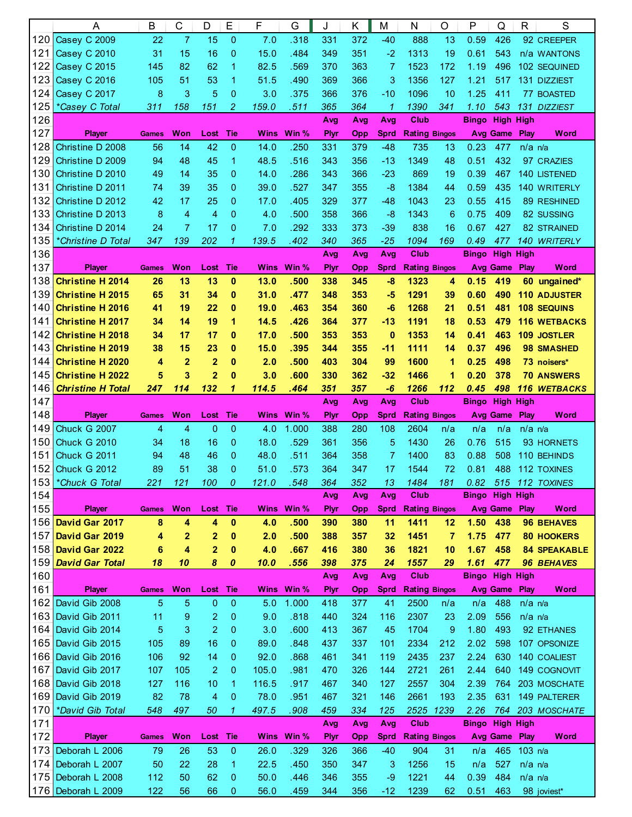|      | A                                    | B            | С        | D              | Е                     | F            | G            | J           | Κ          | М             | N                    | O        | P                      | Q             | R           | S                   |
|------|--------------------------------------|--------------|----------|----------------|-----------------------|--------------|--------------|-------------|------------|---------------|----------------------|----------|------------------------|---------------|-------------|---------------------|
| 120  | Casey C 2009                         | 22           | -7       | 15             | $\mathbf 0$           | 7.0          | .318         | 331         | 372        | -40           | 888                  | 13       | 0.59                   | 426           |             | 92 CREEPER          |
| 121  | Casey C 2010                         | 31           | 15       | 16             | 0                     | 15.0         | .484         | 349         | 351        | $-2$          | 1313                 | 19       | 0.61                   | 543           |             | n/a WANTONS         |
| 122  | Casey C 2015                         | 145          | 82       | 62             | 1                     | 82.5         | .569         | 370         | 363        | 7             | 1523                 | 172      | 1.19                   | 496           |             | 102 SEQUINED        |
| 123  | Casey C 2016                         | 105          | 51       | 53             | 1                     | 51.5         | .490         | 369         | 366        | 3             | 1356                 | 127      | 1.21                   | 517           |             | 131 DIZZIEST        |
| 124  | Casey C 2017                         | 8            | 3        | 5              | 0                     | 3.0          | .375         | 366         | 376        | -10           | 1096                 | 10       | 1.25                   | 411           |             | 77 BOASTED          |
| 125  | *Casey C Total                       | 311          | 158      | 151            | 2                     | 159.0        | .511         | 365         | 364        | 1             | 1390                 | 341      | 1.10                   | 543           |             | 131 DIZZIEST        |
| 126  |                                      |              |          |                |                       |              |              | <b>Avg</b>  | Avg        | Avg           | Club                 |          | <b>Bingo High High</b> |               |             |                     |
| 127  | <b>Player</b>                        | <b>Games</b> | Won      | Lost           | Tie                   | Wins         | Win $%$      | <b>Plyr</b> | Opp        | <b>Sprd</b>   | <b>Rating Bingos</b> |          |                        | Avg Game      | <b>Play</b> | Word                |
| 128  | Christine D 2008                     | 56           | 14       | 42             | 0                     | 14.0         | .250         | 331         | 379        | $-48$         | 735                  | 13       | 0.23                   | 477           | $n/a$ $n/a$ |                     |
| 129  | Christine D 2009                     | 94           | 48       | 45             | 1                     | 48.5         | .516         | 343         | 356        | $-13$         | 1349                 | 48       | 0.51                   | 432           |             | 97 CRAZIES          |
| 130  | Christine D 2010                     | 49           | 14       | 35             | 0                     | 14.0         | .286         | 343         | 366        | $-23$         | 869                  | 19       | 0.39                   | 467           |             | 140 LISTENED        |
| 131  | Christine D 2011                     | 74           | 39       | 35             | 0                     | 39.0         | .527         | 347         | 355        | -8            | 1384                 | 44       | 0.59                   | 435           |             | 140 WRITERLY        |
| 132  | Christine D 2012                     | 42           | 17       | 25             | 0                     | 17.0         | .405         | 329         | 377        | -48           | 1043                 | 23       | 0.55                   | 415           |             | 89 RESHINED         |
| 133  | Christine D 2013                     | 8            | 4        | 4              | 0                     | 4.0          | .500         | 358         | 366        | -8            | 1343                 | 6        | 0.75                   | 409           |             | 82 SUSSING          |
| 134  | Christine D 2014                     | 24           | 7        | 17             | 0                     | 7.0          | .292         | 333         | 373        | -39           | 838                  | 16       | 0.67                   | 427           |             | 82 STRAINED         |
| 135  | *Christine D Total                   | 347          | 139      | 202            | 1                     | 139.5        | .402         | 340         | 365        | $-25$         | 1094                 | 169      | 0.49                   | 477           |             | 140 WRITERLY        |
| 136  |                                      |              |          |                |                       |              |              | Avg         | Avg        | Avg           | Club                 |          | <b>Bingo High High</b> |               |             |                     |
| 137  | <b>Player</b>                        | <b>Games</b> | Won      | Lost           | Tie                   | Wins         | Win %        | <b>Plyr</b> | Opp        | <b>Sprd</b>   | <b>Rating Bingos</b> |          |                        | Avg Game Play |             | Word                |
| 138  | <b>Christine H 2014</b>              | 26           | 13       | 13             | 0                     | 13.0         | .500         | 338         | 345        | -8            | 1323                 | 4        | 0.15                   | 419           |             | 60 ungained*        |
| 139  | <b>Christine H 2015</b>              | 65           | 31       | 34             | 0                     | 31.0         | .477         | 348         | 353        | -5            | 1291                 | 39       | 0.60                   | 490           |             | <b>110 ADJUSTER</b> |
| 140  | <b>Christine H 2016</b>              | 41           | 19       | 22             | 0                     | 19.0         | .463         | 354         | 360        | -6            | 1268                 | 21       | 0.51                   | 481           |             | <b>108 SEQUINS</b>  |
| 141  | <b>Christine H 2017</b>              | 34           | 14       | 19             | 1                     | 14.5         | .426         | 364         | 377        | -13           | 1191                 | 18       | 0.53                   | 479           |             | <b>116 WETBACKS</b> |
| 142  | <b>Christine H 2018</b>              | 34           | 17       | 17             | 0                     | 17.0         | .500         | 353         | 353        | $\bf{0}$      | 1353                 | 14       | 0.41                   | 463           |             | 109 JOSTLER         |
| 143  | <b>Christine H 2019</b>              | 38           | 15       | 23             | 0                     | 15.0         | .395         | 344         | 355        | -11           | 1111                 | 14       | 0.37                   | 496           |             | 98 SMASHED          |
| 144  | <b>Christine H 2020</b>              | 4            | 2        | $\mathbf{2}$   | 0                     | 2.0          | .500         | 403         | 304        | 99            | 1600                 | 1        | 0.25                   | 498           |             | 73 noisers*         |
| 145  | <b>Christine H 2022</b>              | 5            | 3        | $\mathbf{2}$   | 0                     | 3.0          | .600         | 330         | 362        | -32           | 1466                 | 1        | 0.20                   | 378           |             | <b>70 ANSWERS</b>   |
| 146  | <b>Christine H Total</b>             | 247          | 114      | 132            | 1                     | 114.5        | .464         | 351         | 357        | -6            | 1266                 | 112      | 0.45                   | 498           |             | 116 WETBACKS        |
| 147  |                                      |              |          |                |                       |              |              | <b>Avg</b>  | Avg        | Avg           | Club                 |          | Bingo High High        |               |             |                     |
| 148  | <b>Player</b>                        | <b>Games</b> | Won      | Lost           | Tie                   | Wins         | Win %        | <b>Plyr</b> | Opp        | <b>Sprd</b>   | <b>Rating Bingos</b> |          |                        | Avg Game      | <b>Play</b> | Word                |
| 149  | Chuck G 2007                         | 4            | 4        | 0              | 0                     | 4.0          | 1.000        | 388         | 280        | 108           | 2604                 | n/a      | n/a                    | n/a           | $n/a$ $n/a$ |                     |
| 150  | <b>Chuck G 2010</b>                  | 34           | 18       | 16             | 0                     | 18.0         | .529         | 361         | 356        | 5             | 1430                 | 26       | 0.76                   | 515           |             | 93 HORNETS          |
| 151  |                                      |              |          |                |                       |              |              |             |            |               |                      |          |                        |               |             |                     |
| 152  | Chuck G 2011                         | 94           | 48       | 46             | 0                     | 48.0         | .511         | 364         | 358        | 7             | 1400                 | 83       | 0.88                   | 508           |             | 110 BEHINDS         |
|      | Chuck G 2012                         | 89           | 51       | 38             | 0                     | 51.0         | .573         | 364         | 347        | 17            | 1544                 | 72       | 0.81                   | 488           |             | 112 TOXINES         |
|      | 153 *Chuck G Total                   | 221          | 121      | 100            | $\boldsymbol{\theta}$ | 121.0        | .548         | 364         | 352        | 13            | 1484                 | 181      | 0.82                   |               |             | 515 112 TOXINES     |
| 154  |                                      |              |          |                |                       |              |              | Avg         | Avg        | Avg           | Club                 |          | <b>Bingo High High</b> |               |             |                     |
| 155  | <b>Player</b>                        | <b>Games</b> | Won      | Lost           | Tie                   |              | Wins Win %   | <b>Plyr</b> | <b>Opp</b> | <b>Sprd</b>   | <b>Rating Bingos</b> |          |                        | Avg Game Play |             | Word                |
| 156  | David Gar 2017                       | 8            | 4        | 4              | 0                     | 4.0          | .500         | 390         | 380        | 11            | 1411                 | 12       | 1.50                   | 438           |             | <b>96 BEHAVES</b>   |
| 157  | David Gar 2019                       | 4            | 2        | 2              | 0                     | 2.0          | .500         | 388         | 357        | 32            | 1451                 | 7        | 1.75                   | 477           |             | <b>80 HOOKERS</b>   |
|      | 158 David Gar 2022                   | 6            | 4        | $\mathbf{2}$   | 0                     | 4.0          | .667         | 416         | 380        | 36            | 1821                 | 10       | 1.67                   | 458           |             | <b>84 SPEAKABLE</b> |
|      | 159 David Gar Total                  | 18           | 10       | 8              | 0                     | 10.0         | .556         | 398         | 375        | 24            | 1557                 | 29       | 1.61                   | 477           |             | 96 BEHAVES          |
| 160  |                                      |              |          |                |                       |              |              | Avg         | Avg        | Avg           | Club                 |          | <b>Bingo High High</b> |               |             |                     |
| 161  | <b>Player</b>                        | <b>Games</b> | Won      | Lost           | Tie                   |              | Wins Win %   | <b>Plyr</b> | <b>Opp</b> | <b>Sprd</b>   | <b>Rating Bingos</b> |          |                        | Avg Game Play |             | Word                |
| 162  | David Gib 2008                       | 5            | 5        | 0              | 0                     | 5.0          | 1.000        | 418         | 377        | 41            | 2500                 | n/a      | n/a                    | 488           | $n/a$ $n/a$ |                     |
| 163  | David Gib 2011                       | 11           | 9        | 2              | 0                     | 9.0          | .818         | 440         | 324        | 116           | 2307                 | 23       | 2.09                   | 556           | $n/a$ $n/a$ |                     |
| 164  | David Gib 2014                       | 5            | 3        | 2              | 0                     | 3.0          | .600         | 413         | 367        | 45            | 1704                 | 9        | 1.80                   | 493           |             | 92 ETHANES          |
|      | 165 David Gib 2015                   | 105          | 89       | 16             | 0                     | 89.0         | .848         | 437         | 337        | 101           | 2334                 | 212      | 2.02                   | 598           |             | 107 OPSONIZE        |
|      | 166 David Gib 2016                   | 106          | 92       | 14             | 0                     | 92.0         | .868         | 461         | 341        | 119           | 2435                 | 237      | 2.24                   | 630           |             | 140 COALIEST        |
| 167  | David Gib 2017                       | 107          | 105      | $\overline{c}$ | $\mathbf 0$           | 105.0        | .981         | 470         | 326        | 144           | 2721                 | 261      | 2.44                   | 640           |             | 149 COGNOVIT        |
| 168  | David Gib 2018                       | 127          | 116      | 10             | 1                     | 116.5        | .917         | 467         | 340        | 127           | 2557                 | 304      | 2.39                   | 764           |             | 203 MOSCHATE        |
| 169  | David Gib 2019                       | 82           | 78       | 4              | 0                     | 78.0         | .951         | 467         | 321        | 146           | 2661                 | 193      | 2.35                   | 631           |             | 149 PALTERER        |
| 170  | <i>*David Gib Total</i>              | 548          | 497      | 50             | 1                     | 497.5        | .908         | 459         | 334        | 125           | 2525                 | 1239     | 2.26                   | 764           |             | 203 MOSCHATE        |
| 171  |                                      |              |          |                |                       |              |              | Avg         | Avg        | Avg           | Club                 |          | <b>Bingo High High</b> |               |             |                     |
| 172  | <b>Player</b>                        | <b>Games</b> | Won      | Lost           | Tie                   | <b>Wins</b>  | Win %        | <b>Plyr</b> | <b>Opp</b> | <b>Sprd</b>   | <b>Rating Bingos</b> |          |                        | Avg Game Play |             | Word                |
| 173  | Deborah L 2006                       | 79           | 26       | 53             | $\mathbf 0$           | 26.0         | .329         | 326         | 366        | $-40$         | 904                  | 31       | n/a                    | 465           | $103$ n/a   |                     |
| 174  | Deborah L 2007                       | 50           | 22       | 28             | 1                     | 22.5         | .450         | 350         | 347        | 3             | 1256                 | 15       | n/a                    | 527           | $n/a$ $n/a$ |                     |
| 1751 | Deborah L 2008<br>176 Deborah L 2009 | 112<br>122   | 50<br>56 | 62<br>66       | 0<br>$\mathbf 0$      | 50.0<br>56.0 | .446<br>.459 | 346<br>344  | 355<br>356 | $-9$<br>$-12$ | 1221<br>1239         | 44<br>62 | 0.39<br>0.51           | 484<br>463    | $n/a$ $n/a$ | 98 joviest*         |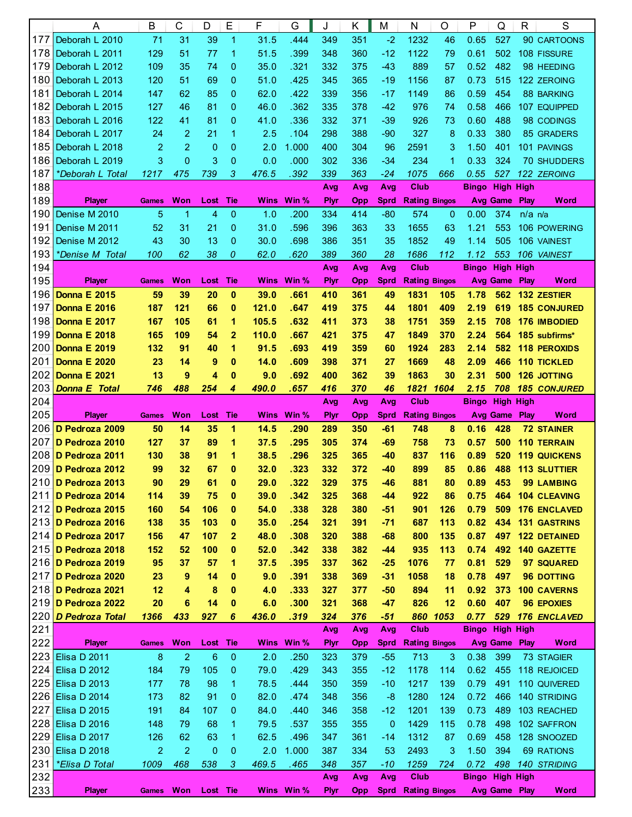|                                 | Α                     | B              | C              | D        | E          | F     | G          | J           | Κ          | М           | N                         | O        | P                      | Q             | R           | S                   |
|---------------------------------|-----------------------|----------------|----------------|----------|------------|-------|------------|-------------|------------|-------------|---------------------------|----------|------------------------|---------------|-------------|---------------------|
| 177                             | Deborah L 2010        | 71             | 31             | 39       | 1          | 31.5  | .444       | 349         | 351        | $-2$        | 1232                      | 46       | 0.65                   | 527           |             | 90 CARTOONS         |
| 178                             | Deborah L 2011        | 129            | 51             | 77       | 1          | 51.5  | .399       | 348         | 360        | $-12$       | 1122                      | 79       | 0.61                   | 502           |             | 108 FISSURE         |
| 179                             | Deborah L 2012        | 109            | 35             | 74       | 0          | 35.0  | .321       | 332         | 375        | $-43$       | 889                       | 57       | 0.52                   | 482           |             | 98 HEEDING          |
| 180                             | Deborah L 2013        | 120            | 51             | 69       | 0          | 51.0  | .425       | 345         | 365        | -19         | 1156                      | 87       | 0.73                   | 515           |             | 122 ZEROING         |
| 181                             | Deborah L 2014        | 147            | 62             | 85       | 0          | 62.0  | .422       | 339         | 356        | -17         | 1149                      | 86       | 0.59                   | 454           |             | <b>88 BARKING</b>   |
| 182                             | Deborah L 2015        | 127            | 46             | 81       | 0          | 46.0  | .362       | 335         | 378        | $-42$       | 976                       | 74       | 0.58                   | 466           |             | 107 EQUIPPED        |
|                                 |                       |                |                |          |            |       |            |             |            |             |                           |          |                        | 488           |             |                     |
| 183                             | Deborah L 2016        | 122            | 41             | 81       | 0          | 41.0  | .336       | 332         | 371        | -39         | 926                       | 73       | 0.60                   |               |             | 98 CODINGS          |
| 184                             | Deborah L 2017        | 24             | 2              | 21       | 1          | 2.5   | .104       | 298         | 388        | $-90$       | 327                       | 8        | 0.33                   | 380           |             | 85 GRADERS          |
| 185                             | Deborah L 2018        | 2              | $\overline{c}$ | 0        | 0          | 2.0   | 1.000      | 400         | 304        | 96          | 2591                      | 3        | 1.50                   | 401           |             | 101 PAVINGS         |
| 186                             | Deborah L 2019        | 3              | 0              | 3        | 0          | 0.0   | .000       | 302         | 336        | -34         | 234                       | 1        | 0.33                   | 324           |             | <b>70 SHUDDERS</b>  |
| 187                             | *Deborah L Total      | 1217           | 475            | 739      | 3          | 476.5 | .392       | 339         | 363        | $-24$       | 1075                      | 666      | 0.55                   | 527           |             | 122 ZEROING         |
| 188                             |                       |                |                |          |            |       |            | Avg         | Avg        | Avg         | Club                      |          | <b>Bingo High High</b> |               |             |                     |
| 189                             | <b>Player</b>         | Games          | Won            | Lost     | <b>Tie</b> |       | Wins Win % | <b>Plyr</b> | Opp        | <b>Sprd</b> | <b>Rating Bingos</b>      |          |                        | Avg Game Play |             | <b>Word</b>         |
| 190                             | Denise M 2010         | 5              | -1             | 4        | 0          | 1.0   | .200       | 334         | 414        | $-80$       | 574                       | 0        | 0.00                   | 374           | $n/a$ $n/a$ |                     |
| 191                             | Denise M 2011         | 52             | 31             | 21       | 0          | 31.0  | .596       | 396         | 363        | 33          | 1655                      | 63       | 1.21                   | 553           |             | 106 POWERING        |
| 192                             | Denise M 2012         | 43             | 30             | 13       | 0          | 30.0  | .698       | 386         | 351        | 35          | 1852                      | 49       | 1.14                   | 505           |             | 106 VAINEST         |
| 193                             | *Denise M Total       | 100            | 62             | 38       | 0          | 62.0  | .620       | 389         | 360        | 28          | 1686                      | 112      | 1.12                   | 553           |             | 106 VAINEST         |
| 194                             |                       |                |                |          |            |       |            | Avg         | Avg        | Avg         | Club                      |          | <b>Bingo High High</b> |               |             |                     |
| 195                             | <b>Player</b>         | <b>Games</b>   | Won            | Lost     | Tie        |       | Wins Win % | <b>Plyr</b> | <b>Opp</b> | Sprd        | <b>Rating Bingos</b>      |          |                        | Avg Game Play |             | Word                |
| 196                             | <b>Donna E 2015</b>   | 59             | 39             | 20       | 0          | 39.0  | .661       | 410         | 361        | 49          | 1831                      | 105      | 1.78                   | 562           |             | <b>132 ZESTIER</b>  |
| 197                             | <b>Donna E 2016</b>   | 187            | 121            | 66       | 0          | 121.0 | .647       | 419         | 375        | 44          | 1801                      | 409      | 2.19                   | 619           |             | <b>185 CONJURED</b> |
| 198                             | <b>Donna E 2017</b>   | 167            | 105            | 61       | 1          | 105.5 | .632       | 411         | 373        | 38          | 1751                      | 359      | 2.15                   | 708           |             | <b>176 IMBODIED</b> |
| 199                             | <b>Donna E 2018</b>   | 165            | 109            | 54       | 2          | 110.0 | .667       | 421         | 375        | 47          | 1849                      | 370      | 2.24                   | 564           |             | 185 subfirms*       |
| 200                             | <b>Donna E 2019</b>   | 132            | 91             | 40       | 1          | 91.5  | .693       | 419         | 359        | 60          | 1924                      | 283      | 2.14                   | 582           |             | <b>118 PEROXIDS</b> |
| 201                             | <b>Donna E 2020</b>   | 23             | 14             | 9        | 0          | 14.0  | .609       | 398         | 371        | 27          | 1669                      | 48       | 2.09                   | 466           |             | <b>110 TICKLED</b>  |
|                                 |                       |                |                |          |            |       |            |             |            |             |                           |          |                        |               |             |                     |
| 202                             | <b>Donna E 2021</b>   | 13             | 9              | 4        | 0          | 9.0   | .692       | 400         | 362        | 39          | 1863                      | 30       | 2.31                   | 500           |             | <b>126 JOTTING</b>  |
| 203                             | <b>Donna E Total</b>  | 746            | 488            | 254      | 4          | 490.0 | .657       | 416         | 370        | 46          | 1821                      | 1604     | 2.15                   | 708           |             | <b>185 CONJURED</b> |
| 204                             |                       |                |                |          |            |       |            | Avg         | Avg        | Avg         | Club                      |          | <b>Bingo High High</b> |               |             |                     |
| 205                             | <b>Player</b>         | <b>Games</b>   | Won            | Lost     | Tie        |       | Wins Win % | <b>Plyr</b> | Opp        | <b>Sprd</b> | <b>Rating Bingos</b>      |          |                        | Avg Game Play |             | Word                |
|                                 |                       |                |                |          |            |       |            |             |            |             |                           |          |                        |               |             |                     |
| 206                             | D Pedroza 2009        | 50             | 14             | 35       | 1          | 14.5  | .290       | 289         | 350        | -61         | 748                       | 8        | 0.16                   | 428           |             | <b>72 STAINER</b>   |
| 207                             | D Pedroza 2010        | 127            | 37             | 89       | 1          | 37.5  | .295       | 305         | 374        | -69         | 758                       | 73       | 0.57                   | 500           |             | <b>110 TERRAIN</b>  |
| 208                             | D Pedroza 2011        | 130            | 38             | 91       | 1          | 38.5  | .296       | 325         | 365        | -40         | 837                       | 116      | 0.89                   | 520           |             | <b>119 QUICKENS</b> |
| 209                             | D Pedroza 2012        | 99             | 32             | 67       | 0          | 32.0  | .323       | 332         | 372        | $-40$       | 899                       | 85       | 0.86                   | 488           |             | <b>113 SLUTTIER</b> |
|                                 | 210 D Pedroza 2013    | 90             | 29             | 61       | 0          | 29.0  | 322        | 329         | 375        | -46         | 881                       | 80       | 0.89                   | 453           |             | <b>99 LAMBING</b>   |
|                                 | 211 D Pedroza 2014    | 114            | 39             | 75       | 0          | 39.0  | .342       | 325         | 368        | -44         | 922                       | 86       | 0.75                   |               |             | 464 104 CLEAVING    |
|                                 | 212 D Pedroza 2015    | 160            | 54             | 106      | 0          | 54.0  | .338       | 328         | 380        | $-51$       | 901                       | 126      | 0.79                   | 509           |             | <b>176 ENCLAVED</b> |
|                                 | 213 D Pedroza 2016    | 138            | 35             | 103      | 0          | 35.0  | .254       | 321         | 391        | $-71$       | 687                       | 113      | 0.82                   | 434           |             | <b>131 GASTRINS</b> |
|                                 | 214 D Pedroza 2017    | 156            | 47             | 107      | 2          | 48.0  | .308       | 320         | 388        | $-68$       | 800                       | 135      | 0.87                   | 497           |             | <b>122 DETAINED</b> |
|                                 | 215 D Pedroza 2018    | 152            | 52             | 100      | 0          | 52.0  | .342       | 338         | 382        | $-44$       | 935                       | 113      | 0.74                   | 492           |             | <b>140 GAZETTE</b>  |
|                                 | 216 D Pedroza 2019    | 95             | 37             | 57       | 1          | 37.5  | .395       | 337         | 362        | $-25$       | 1076                      | 77       | 0.81                   | 529           |             | 97 SQUARED          |
|                                 |                       |                |                |          | 0          |       |            |             |            | $-31$       |                           |          |                        |               |             | <b>96 DOTTING</b>   |
|                                 | 217 D Pedroza 2020    | 23             | 9              | 14       |            | 9.0   | .391       | 338         | 369        |             | 1058                      | 18       | 0.78                   | 497           |             |                     |
|                                 | 218 D Pedroza 2021    | 12             | 4              | 8        | 0          | 4.0   | .333       | 327         | 377        | $-50$       | 894                       | 11       | 0.92                   | 373           |             | <b>100 CAVERNS</b>  |
|                                 | 219 D Pedroza 2022    | 20             | 6              | 14       | 0          | 6.0   | .300       | 321         | 368        | $-47$       | 826                       | 12       | 0.60                   | 407           |             | 96 EPOXIES          |
|                                 | 220 D Pedroza Total   | 1366           | 433            | 927      | 6          | 436.0 | .319       | 324         | 376        | $-51$       |                           | 860 1053 | 0.77                   | 529           |             | 176 ENCLAVED        |
|                                 |                       |                |                |          |            |       |            | Avg         | Avg        | Avg         | Club                      |          | <b>Bingo High High</b> |               |             |                     |
|                                 | <b>Player</b>         | <b>Games</b>   | Won            | Lost     | Tie        |       | Wins Win % | <b>Plyr</b> | <b>Opp</b> |             | <b>Sprd Rating Bingos</b> |          |                        | Avg Game Play |             | Word                |
|                                 | 223 Elisa D 2011      | 8              | $\overline{2}$ | 6        | 0          | 2.0   | .250       | 323         | 379        | $-55$       | 713                       | 3        | 0.38                   | 399           |             | 73 STAGIER          |
|                                 | 224 Elisa D 2012      | 184            | 79             | 105      | 0          | 79.0  | .429       | 343         | 355        | $-12$       | 1178                      | 114      | 0.62                   | 455           |             | 118 REJOICED        |
|                                 | 225 Elisa D 2013      | 177            | 78             | 98       | 1          | 78.5  | .444       | 350         | 359        | $-10$       | 1217                      | 139      | 0.79                   | 491           |             | 110 QUIVERED        |
|                                 | 226 Elisa D 2014      | 173            | 82             | 91       | 0          | 82.0  | .474       | 348         | 356        | $-8$        | 1280                      | 124      | 0.72                   | 466           |             | <b>140 STRIDING</b> |
|                                 | Elisa D 2015          | 191            | 84             | 107      | 0          | 84.0  | .440       | 346         | 358        | $-12$       | 1201                      | 139      | 0.73                   | 489           |             | 103 REACHED         |
|                                 | 228 Elisa D 2016      | 148            | 79             | 68       | 1          | 79.5  | .537       | 355         | 355        | $\mathbf 0$ | 1429                      | 115      | 0.78                   | 498           |             | 102 SAFFRON         |
|                                 | 229 Elisa D 2017      | 126            | 62             | 63       | 1          | 62.5  | .496       | 347         | 361        | $-14$       | 1312                      | 87       | 0.69                   | 458           |             | 128 SNOOZED         |
|                                 | Elisa D 2018          | $\overline{2}$ | $\overline{2}$ | $\bf{0}$ | 0          | 2.0   | 1.000      | 387         | 334        | 53          | 2493                      | 3        | 1.50                   | 394           |             | <b>69 RATIONS</b>   |
| 221<br>222<br>227<br>230<br>231 | <i>*Elisa D Total</i> | 1009           | 468            | 538      | 3          | 469.5 | .465       | 348         | 357        | $-10$       | 1259                      | 724      | 0.72                   | 498           |             | <b>140 STRIDING</b> |
|                                 |                       |                |                |          |            |       |            | Avg         | Avg        | Avg         | <b>Club</b>               |          | <b>Bingo High High</b> |               |             |                     |
| 232<br>233                      | <b>Player</b>         | <b>Games</b>   | Won            | Lost Tie |            |       | Wins Win % | <b>Plyr</b> | <b>Opp</b> | Sprd        | <b>Rating Bingos</b>      |          |                        | Avg Game Play |             | Word                |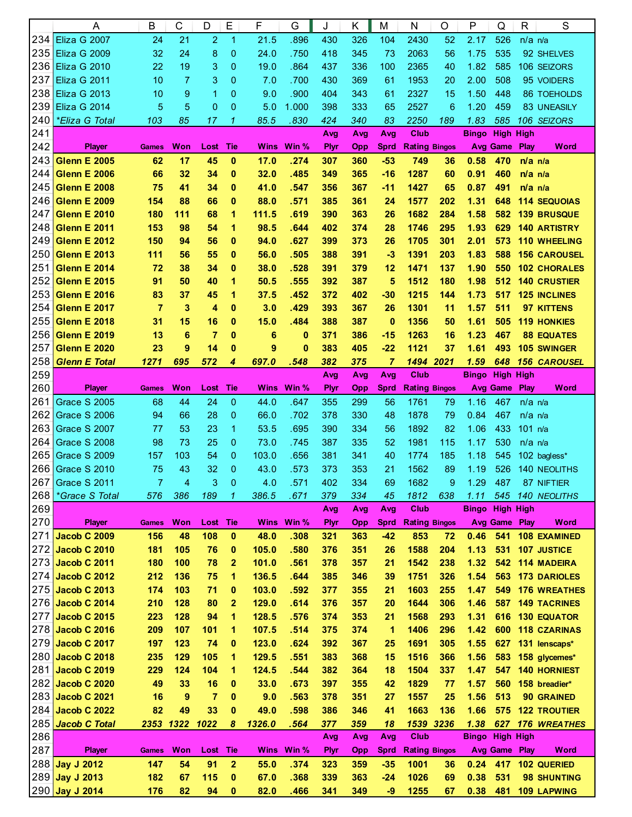|     | A                                | в            | С         | D              | E                        | F            | G            | J           | Κ          | M              | N                    | O        | P                      | Q                | R           | S                                     |
|-----|----------------------------------|--------------|-----------|----------------|--------------------------|--------------|--------------|-------------|------------|----------------|----------------------|----------|------------------------|------------------|-------------|---------------------------------------|
| 234 | Eliza G 2007                     | 24           | 21        | $\overline{2}$ | 1                        | 21.5         | .896         | 430         | 326        | 104            | 2430                 | 52       | 2.17                   | 526              | $n/a$ $n/a$ |                                       |
| 235 | Eliza G 2009                     | 32           | 24        | 8              | 0                        | 24.0         | .750         | 418         | 345        | 73             | 2063                 | 56       | 1.75                   | 535              |             | 92 SHELVES                            |
| 236 | Eliza G 2010                     | 22           | 19        | 3              | 0                        | 19.0         | .864         | 437         | 336        | 100            | 2365                 | 40       | 1.82                   | 585              |             | 106 SEIZORS                           |
| 237 | Eliza G 2011                     | 10           | 7         | 3              | 0                        | 7.0          | .700         | 430         | 369        | 61             | 1953                 | 20       | 2.00                   | 508              |             | 95 VOIDERS                            |
| 238 | Eliza G 2013                     | 10           | 9         | 1              | 0                        | 9.0          | .900         | 404         | 343        | 61             | 2327                 | 15       | 1.50                   | 448              |             | <b>86 TOEHOLDS</b>                    |
|     | 239 Eliza G 2014                 | 5            | 5         | $\mathbf{0}$   | 0                        | 5.0          | 1.000        | 398         | 333        | 65             | 2527                 | 6        | 1.20                   | 459              |             | <b>83 UNEASILY</b>                    |
| 240 | *Eliza G Total                   | 103          | 85        | 17             | 1                        | 85.5         | .830         | 424         | 340        | 83             | 2250                 | 189      | 1.83                   | 585              |             | 106 SEIZORS                           |
| 241 |                                  |              |           |                |                          |              |              | Avg         | Avg        | Avg            | Club                 |          | <b>Bingo</b>           | <b>High High</b> |             |                                       |
| 242 | <b>Player</b>                    | <b>Games</b> | Won       | Lost           | Tie                      | Wins         | Win $%$      | <b>Plyr</b> | Opp        | Sprd           | <b>Rating Bingos</b> |          |                        | Avg Game Play    |             | Word                                  |
| 243 | <b>Glenn E 2005</b>              | 62           | 17        | 45             | $\bf{0}$                 | 17.0         | .274         | 307         | 360        | $-53$          | 749                  | 36       | 0.58                   | 470              | $n/a$ n/a   |                                       |
| 244 | Glenn E 2006                     | 66           | 32        | 34             | 0                        | 32.0         | .485         | 349         | 365        | $-16$          | 1287                 | 60       | 0.91                   | 460              | $n/a$ n/a   |                                       |
| 245 | Glenn E 2008                     | 75           | 41        | 34             | $\bf{0}$                 | 41.0         | .547         | 356         | 367        | $-11$          | 1427                 | 65       | 0.87                   | 491              | $n/a$ n/a   |                                       |
| 246 | Glenn E 2009                     | 154          | 88        | 66             | 0                        | 88.0         | .571         | 385         | 361        | 24             | 1577                 | 202      | 1.31                   | 648              |             | <b>114 SEQUOIAS</b>                   |
| 247 | <b>Glenn E 2010</b>              | 180          | 111       | 68             | 1                        | 111.5        | .619         | 390         | 363        | 26             | 1682                 | 284      | 1.58                   | 582              |             | <b>139 BRUSQUE</b>                    |
|     | 248 Glenn E 2011                 | 153          | 98        | 54             | 1                        | 98.5         | .644         | 402         | 374        | 28             | 1746                 | 295      | 1.93                   | 629              |             | <b>140 ARTISTRY</b>                   |
| 249 | Glenn E 2012                     | 150          | 94        | 56             | 0                        | 94.0         | .627         | 399         | 373        | 26             | 1705                 | 301      | 2.01                   | 573              |             | 110 WHEELING                          |
| 250 | Glenn E 2013                     | 111          | 56        | 55             | 0                        | 56.0         | .505         | 388         | 391        | $-3$           | 1391                 | 203      | 1.83                   | 588              |             | <b>156 CAROUSEL</b>                   |
| 251 | Glenn E 2014                     | 72           | 38        | 34             | 0                        | 38.0         | .528         | 391         | 379        | 12             | 1471                 | 137      | 1.90                   | 550              |             | <b>102 CHORALES</b>                   |
| 252 | <b>Glenn E 2015</b>              | 91           | 50        | 40             | 1                        | 50.5         | .555         | 392         | 387        | 5              | 1512                 | 180      | 1.98                   | 512              |             | <b>140 CRUSTIER</b>                   |
| 253 | <b>Glenn E 2016</b>              | 83           | 37        | 45             | 1                        | 37.5         | .452         | 372         | 402        | -30            | 1215                 | 144      | 1.73                   | 517              |             | <b>125 INCLINES</b>                   |
| 254 | Glenn E 2017                     | 7            | 3         | 4              | 0                        | 3.0          | .429         | 393         | 367        | 26             | 1301                 | 11       | 1.57                   | 511              |             | 97 KITTENS                            |
| 255 | Glenn E 2018                     | 31           | 15        | 16             | 0                        | 15.0         | .484         | 388         | 387        | $\bf{0}$       | 1356                 | 50       | 1.61                   | 505              |             | <b>119 HONKIES</b>                    |
| 256 | Glenn E 2019                     | 13           | 6         | 7              | 0                        | 6            | 0            | 371         | 386        | -15            | 1263                 | 16       | 1.23                   | 467              |             | <b>88 EQUATES</b>                     |
| 257 | Glenn E 2020                     | 23           | 9         | 14             | 0                        | 9            | $\bf{0}$     | 383         | 405        | $-22$          | 1121                 | 37       | 1.61                   | 493              |             | <b>105 SWINGER</b>                    |
| 258 | <b>Glenn E Total</b>             | 1271         | 695       | 572            | 4                        | 697.0        | .548         | 382         | 375        | 7              | 1494 2021            |          | 1.59                   | 648              |             | <b>156 CAROUSEL</b>                   |
| 259 |                                  |              |           |                |                          |              |              | Avg         | Avg        | Avg            | Club                 |          | <b>Bingo</b>           | <b>High High</b> |             |                                       |
| 260 | <b>Player</b>                    | <b>Games</b> | Won       | Lost           | <b>Tie</b>               | Wins         | Win $%$      | <b>Plyr</b> | Opp        | Sprd           | <b>Rating Bingos</b> |          |                        | Avg Game Play    |             | Word                                  |
| 261 | <b>Grace S 2005</b>              | 68           | 44        | 24             | 0                        | 44.0         | .647         | 355         | 299        | 56             | 1761                 | 79       | 1.16                   | 467              | $n/a$ $n/a$ |                                       |
|     |                                  |              |           |                |                          |              |              |             |            |                |                      |          |                        |                  |             |                                       |
|     |                                  |              |           |                |                          |              |              |             |            |                |                      |          |                        |                  |             |                                       |
| 262 | <b>Grace S 2006</b>              | 94           | 66        | 28             | 0                        | 66.0         | .702         | 378         | 330        | 48             | 1878                 | 79       | 0.84                   | 467              | $n/a$ $n/a$ |                                       |
| 263 | <b>Grace S 2007</b>              | 77           | 53        | 23             | 1                        | 53.5         | .695         | 390         | 334        | 56             | 1892                 | 82       | 1.06                   | 433              | $101$ n/a   |                                       |
| 264 | <b>Grace S 2008</b>              | 98           | 73        | 25             | 0                        | 73.0         | .745         | 387         | 335        | 52             | 1981                 | 115      | 1.17                   | 530              | $n/a$ $n/a$ |                                       |
| 265 | <b>Grace S 2009</b>              | 157          | 103       | 54             | 0                        | 103.0        | .656         | 381         | 341        | 40             | 1774                 | 185      | 1.18                   | 545              |             | 102 bagless*                          |
|     | 266 Grace S 2010                 | 75           | 43        | 32             | 0                        | 43.0         | .573         | 373         | 353        | 21             | 1562                 | 89       | 1.19                   | 526              |             | 140 NEOLITHS                          |
|     | 267 Grace S 2011                 | $\sim$ 7     | $\Delta$  | -3-            | $\overline{0}$           | 4.0          | .571         | 402         | 334        | 69             | 1682                 | 9        |                        |                  |             | 1.29 487 87 NIFTIER                   |
| 268 | <i>*Grace S Total</i>            | 576          | 386       | 189            | 1                        | 386.5        | .671         | 379         | 334        | 45             | 1812                 | 638      |                        |                  |             | 1.11 545 140 NEOLITHS                 |
| 269 |                                  |              |           |                |                          |              |              | Avg         | Avg        | Avg            | Club                 |          | <b>Bingo High High</b> |                  |             |                                       |
| 270 | <b>Player</b>                    | <b>Games</b> | Won       | Lost Tie       |                          |              | Wins Win %   | Plyr        | <b>Opp</b> | Sprd           | <b>Rating Bingos</b> |          |                        | Avg Game Play    |             | Word                                  |
|     | 271 Jacob C 2009                 | 156          | 48        | 108            | 0                        | 48.0         | .308         | 321         | 363        | $-42$          | 853                  | 72       | 0.46                   | 541              |             | <b>108 EXAMINED</b>                   |
|     | 272 Jacob C 2010                 | 181          | 105       | 76             | 0                        | 105.0        | .580         | 376         | 351        | 26             | 1588                 | 204      | 1.13                   | 531              |             | <b>107 JUSTICE</b>                    |
|     | 273 Jacob C 2011                 | 180          | 100       | 78             | 2                        | 101.0        | .561         | 378         | 357        | 21             | 1542                 | 238      | 1.32                   | 542              |             | <b>114 MADEIRA</b>                    |
|     | 274 Jacob C 2012                 | 212          | 136       | 75             | 1                        | 136.5        | .644         | 385         | 346        | 39             | 1751                 | 326      | 1.54                   |                  |             | 563 173 DARIOLES                      |
|     | 275 Jacob C 2013                 | 174          | 103       | 71             | 0                        | 103.0        | .592         | 377         | 355        | 21             | 1603                 | 255      | 1.47                   | 549              |             | <b>176 WREATHES</b>                   |
|     | 276 Jacob C 2014                 | 210          | 128       | 80             | 2                        | 129.0        | .614         | 376         | 357        | 20             | 1644                 | 306      | 1.46                   | 587              |             | <b>149 TACRINES</b>                   |
|     | 277 Jacob C 2015                 | 223          | 128       | 94             | 1                        | 128.5        | .576         | 374         | 353        | 21             | 1568                 | 293      | 1.31                   |                  |             | 616 130 EQUATOR                       |
|     | 278 Jacob C 2016                 | 209          | 107       | 101            | 1                        | 107.5        | .514         | 375         | 374        | 1              | 1406                 | 296      | 1.42                   | 600              |             | <b>118 CZARINAS</b>                   |
|     | 279 Jacob C 2017                 | 197          | 123       | 74             | 0                        | 123.0        | .624         | 392         | 367        | 25             | 1691                 | 305      | 1.55                   | 627              |             | 131 lenscaps*                         |
|     | 280 Jacob C 2018                 | 235          | 129       | 105            | 1                        | 129.5        | .551         | 383         | 368        | 15             | 1516                 | 366      | 1.56                   | 583              |             | 158 glycemes*                         |
|     | 281 Jacob C 2019                 | 229          | 124       | 104            | 1                        | 124.5        | .544         | 382         | 364        | 18             | 1504                 | 337      | 1.47                   | 547              |             | <b>140 HORNIEST</b>                   |
|     | 282 Jacob C 2020                 | 49           | 33        | 16             | 0                        | 33.0         | .673         | 397         | 355        | 42             | 1829                 | 77       | 1.57                   | 560              |             | 158 breadier*                         |
|     | 283 Jacob C 2021                 | 16           | 9         | $\overline{7}$ | 0                        | 9.0          | .563         | 378         | 351        | 27             | 1557                 | 25       | 1.56                   | 513              |             | 90 GRAINED                            |
|     | 284 Jacob C 2022                 | 82           | 49        | 33             | 0                        | 49.0         | .598         | 386         | 346        | 41             | 1663                 | 136      | 1.66                   | 575              |             | <b>122 TROUTIER</b>                   |
|     | 285 Jacob C Total                | 2353         | 1322 1022 |                | 8                        | 1326.0       | .564         | 377         | 359        | 18             | 1539 3236<br>Club    |          | 1.38                   | 627              |             | 176 WREATHES                          |
| 286 |                                  |              |           |                |                          |              |              | Avg         | Avg        | Avg            |                      |          | Bingo High High        |                  |             |                                       |
| 287 | <b>Player</b>                    | <b>Games</b> | Won       | Lost Tie       |                          |              | Wins Win %   | <b>Plyr</b> | <b>Opp</b> | <b>Sprd</b>    | <b>Rating Bingos</b> |          |                        | Avg Game Play    |             | Word                                  |
|     | 288 Jay J 2012<br>289 Jay J 2013 | 147<br>182   | 54<br>67  | 91<br>115      | $\mathbf{2}$<br>$\bf{0}$ | 55.0<br>67.0 | .374<br>.368 | 323<br>339  | 359<br>363 | $-35$<br>$-24$ | 1001<br>1026         | 36<br>69 | 0.24<br>0.38           | 531              |             | 417 102 QUERIED<br><b>98 SHUNTING</b> |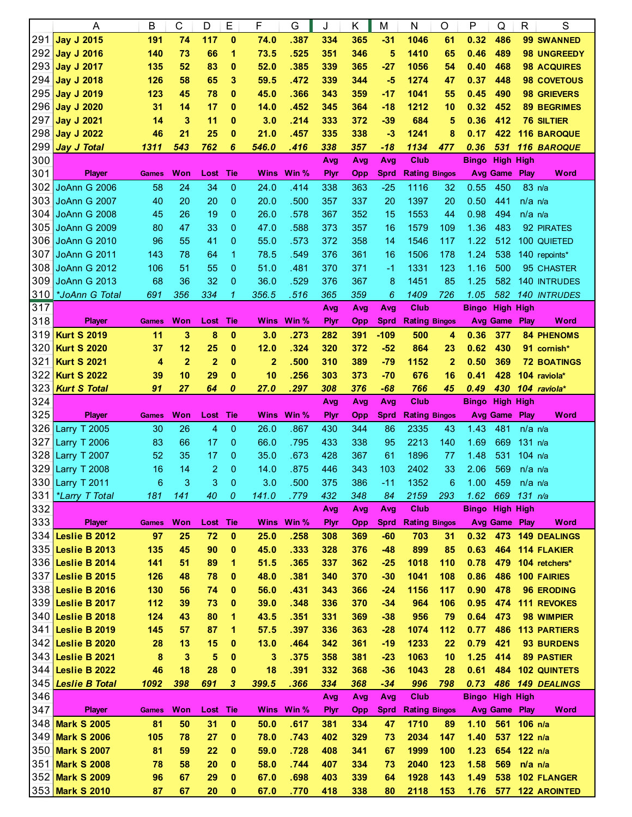|            | A                                  | B            | С            | D              | Е            | F              | G            | J           | Κ          | М           | N                    | O              | Ρ                      | Q                | R           | S                                    |
|------------|------------------------------------|--------------|--------------|----------------|--------------|----------------|--------------|-------------|------------|-------------|----------------------|----------------|------------------------|------------------|-------------|--------------------------------------|
| 291        | <b>Jay J 2015</b>                  | 191          | 74           | 117            | $\bf{0}$     | 74.0           | .387         | 334         | 365        | $-31$       | 1046                 | 61             | 0.32                   | 486              |             | <b>99 SWANNED</b>                    |
|            | 292 Jay J 2016                     | 140          | 73           | 66             | 1            | 73.5           | .525         | 351         | 346        | 5           | 1410                 | 65             | 0.46                   | 489              |             | <b>98 UNGREEDY</b>                   |
| 293        | <b>Jay J 2017</b>                  | 135          | 52           | 83             | 0            | 52.0           | .385         | 339         | 365        | -27         | 1056                 | 54             | 0.40                   | 468              |             | <b>98 ACQUIRES</b>                   |
| 294        | <b>Jay J 2018</b>                  | 126          | 58           | 65             | 3            | 59.5           | .472         | 339         | 344        | -5          | 1274                 | 47             | 0.37                   | 448              |             | 98 COVETOUS                          |
| 295        | <b>Jay J 2019</b>                  | 123          | 45           | 78             | 0            | 45.0           | .366         | 343         | 359        | -17         | 1041                 | 55             | 0.45                   | 490              |             | 98 GRIEVERS                          |
| 296        | <b>Jay J 2020</b>                  | 31           | 14           | 17             | 0            | 14.0           | .452         | 345         | 364        | $-18$       | 1212                 | 10             | 0.32                   | 452              |             | <b>89 BEGRIMES</b>                   |
| 297        | <b>Jay J 2021</b>                  | 14           | 3            | 11             | 0            | 3.0            | .214         | 333         | 372        | $-39$       | 684                  | 5              | 0.36                   | 412              |             | <b>76 SILTIER</b>                    |
| 298        |                                    | 46           | 21           | 25             | 0            | 21.0           | .457         | 335         | 338        | $-3$        | 1241                 | 8              | 0.17                   | 422              |             | <b>116 BAROQUE</b>                   |
| 299        | <b>Jay J 2022</b>                  |              | 543          | 762            | 6            | 546.0          |              | 338         | 357        | $-18$       | 1134                 | 477            | 0.36                   | 531              |             | 116 BAROQUE                          |
| 300        | <b>Jay J Total</b>                 | 1311         |              |                |              |                | .416         | Avg         | Avg        | Avg         | Club                 |                | <b>Bingo High High</b> |                  |             |                                      |
| 301        | <b>Player</b>                      | <b>Games</b> | Won          | Lost           | Tie          | <b>Wins</b>    | Win %        | <b>Plyr</b> | Opp        | <b>Sprd</b> | <b>Rating Bingos</b> |                |                        | Avg Game         | <b>Play</b> | Word                                 |
| 302        | <b>JoAnn G 2006</b>                | 58           | 24           | 34             | 0            | 24.0           | .414         | 338         | 363        | $-25$       | 1116                 |                | 0.55                   | 450              | 83 n/a      |                                      |
| 303        |                                    |              |              |                |              |                |              |             |            |             |                      | 32             |                        |                  |             |                                      |
|            | JoAnn G 2007                       | 40           | 20           | 20             | 0            | 20.0           | .500         | 357         | 337        | 20          | 1397                 | 20             | 0.50                   | 441              | $n/a$ $n/a$ |                                      |
| 304        | JoAnn G 2008                       | 45           | 26           | 19             | 0            | 26.0           | .578         | 367         | 352        | 15          | 1553                 | 44             | 0.98                   | 494              | $n/a$ $n/a$ |                                      |
| 305        | JoAnn G 2009                       | 80           | 47           | 33             | 0            | 47.0           | .588         | 373         | 357        | 16          | 1579                 | 109            | 1.36                   | 483              |             | 92 PIRATES                           |
| 306        | JoAnn G 2010                       | 96           | 55           | 41             | 0            | 55.0           | .573         | 372         | 358        | 14          | 1546                 | 117            | 1.22                   | 512              |             | 100 QUIETED                          |
| 307        | <b>JoAnn G 2011</b>                | 143          | 78           | 64             | 1            | 78.5           | .549         | 376         | 361        | 16          | 1506                 | 178            | 1.24                   | 538              |             | 140 repoints*                        |
| 308        | <b>JoAnn G 2012</b>                | 106          | 51           | 55             | 0            | 51.0           | .481         | 370         | 371        | -1          | 1331                 | 123            | 1.16                   | 500              |             | 95 CHASTER                           |
| 309        | <b>JoAnn G 2013</b>                | 68           | 36           | 32             | 0            | 36.0           | .529         | 376         | 367        | 8           | 1451                 | 85             | 1.25                   | 582              |             | <b>140 INTRUDES</b>                  |
| 310        | *JoAnn G Total                     | 691          | 356          | 334            | 1            | 356.5          | .516         | 365         | 359        | 6           | 1409                 | 726            | 1.05                   | 582              |             | 140 INTRUDES                         |
| 317        |                                    |              |              |                |              |                |              | Avg         | Avg        | Avg         | Club                 |                | <b>Bingo</b>           | <b>High High</b> |             |                                      |
| 318        | <b>Player</b>                      | <b>Games</b> | Won          | Lost           | Tie          | Wins           | Win $%$      | <b>Plyr</b> | Opp        | <b>Sprd</b> | <b>Rating Bingos</b> |                |                        | Avg Game Play    |             | Word                                 |
| 319        | <b>Kurt S 2019</b>                 | 11           | 3            | 8              | 0            | 3.0            | .273         | 282         | 391        | $-109$      | 500                  | 4              | 0.36                   | 377              |             | <b>84 PHENOMS</b>                    |
| 320        | <b>Kurt S 2020</b>                 | 37           | 12           | 25             | 0            | 12.0           | .324         | 320         | 372        | $-52$       | 864                  | 23             | 0.62                   | 430              |             | 91 cornish*                          |
| 321        | <b>Kurt S 2021</b>                 | 4            | $\mathbf{2}$ | $\overline{2}$ | 0            | $\overline{2}$ | .500         | 310         | 389        | $-79$       | 1152                 | $\overline{2}$ | 0.50                   | 369              |             | <b>72 BOATINGS</b>                   |
| 322        | <b>Kurt S 2022</b>                 | 39           | 10           | 29             | 0            | 10             | .256         | 303         | 373        | $-70$       | 676                  | 16             | 0.41                   | 428              |             | 104 raviola*                         |
| 323<br>324 | <b>Kurt S Total</b>                | 91           | 27           | 64             | 0            | 27.0           | .297         | 308         | 376        | -68         | 766<br>Club          | 45             | 0.49                   | 430              |             | 104 raviola*                         |
|            |                                    |              |              |                |              |                |              |             |            |             |                      |                |                        |                  |             |                                      |
|            |                                    |              |              |                |              |                |              | Avg         | Avg        | Avg         |                      |                | <b>Bingo</b>           | <b>High High</b> |             |                                      |
| 325        | <b>Player</b>                      | <b>Games</b> | Won          | Lost           | Tie          | Wins           | Win %        | <b>Plyr</b> | Opp        | <b>Sprd</b> | <b>Rating Bingos</b> |                |                        | Avg Game         | <b>Play</b> | Word                                 |
| 326        | <b>Larry T 2005</b>                | 30           | 26           | 4              | 0            | 26.0           | .867         | 430         | 344        | 86          | 2335                 | 43             | 1.43                   | 481              | $n/a$ $n/a$ |                                      |
| 327        | <b>Larry T 2006</b>                | 83           | 66           | 17             | 0            | 66.0           | .795         | 433         | 338        | 95          | 2213                 | 140            | 1.69                   | 669              | 131 n/a     |                                      |
| 328        | <b>Larry T 2007</b>                | 52           | 35           | 17             | 0            | 35.0           | .673         | 428         | 367        | 61          | 1896                 | 77             | 1.48                   | 531              | $104$ n/a   |                                      |
| 329        | <b>Larry T 2008</b>                | 16           | 14           | $\overline{c}$ | 0            | 14.0           | .875         | 446         | 343        | 103         | 2402                 | 33             | 2.06                   | 569              | $n/a$ $n/a$ |                                      |
|            | 330 Larry T 2011                   | $6^{\circ}$  | 3            | 3 <sup>1</sup> | $\mathbf{0}$ | 3.0            | .500         | 375         | 386        | $-11$       | 1352                 | - 6            |                        | 1.00 459 n/a n/a |             |                                      |
| 331        | *Larry T Total                     | 181          | 141          | 40             | 0            | 141.0          | .779         | 432         | 348        | 84          | 2159                 | 293            |                        | 1.62 669 131 n/a |             |                                      |
| 332        |                                    |              |              |                |              |                |              | Avg         | Avg        | Avg         | Club                 |                | <b>Bingo High High</b> |                  |             |                                      |
| 333        | <b>Player</b>                      | <b>Games</b> | Won          | Lost Tie       |              |                | Wins Win %   | <b>Plyr</b> | <b>Opp</b> | <b>Sprd</b> | <b>Rating Bingos</b> |                |                        | Avg Game Play    |             | Word                                 |
|            | 334 Leslie B 2012                  | 97           | 25           | 72             | 0            | 25.0           | .258         | 308         | 369        | $-60$       | 703                  | 31             | 0.32                   | 473              |             | <b>149 DEALINGS</b>                  |
|            | 335 Leslie B 2013                  | 135          | 45           | 90             | 0            | 45.0           | .333         | 328         | 376        | $-48$       | 899                  | 85             | 0.63                   | 464              |             | <b>114 FLAKIER</b>                   |
|            | 336 Leslie B 2014                  | 141          | 51           | 89             | 1            | 51.5           | .365         | 337         | 362        | $-25$       | 1018                 | 110            | 0.78                   | 479              |             | 104 retchers*                        |
|            | 337 Leslie B 2015                  | 126          | 48           | 78             | 0            | 48.0           | .381         | 340         | 370        | $-30$       | 1041                 | 108            | 0.86                   | 486              |             | <b>100 FAIRIES</b>                   |
|            | 338 Leslie B 2016                  | 130          | 56           | 74             | 0            | 56.0           | .431         | 343         | 366        | $-24$       | 1156                 | 117            | 0.90                   | 478              |             | <b>96 ERODING</b>                    |
|            | 339 Leslie B 2017                  | 112          | 39           | 73             | 0            | 39.0           | .348         | 336         | 370        | $-34$       | 964                  | 106            | 0.95                   | 474              |             | 111 REVOKES                          |
|            | 340 Leslie B 2018                  | 124          | 43           | 80             | 1            | 43.5           | .351         | 331         | 369        | $-38$       | 956                  | 79             | 0.64                   | 473              |             | 98 WIMPIER                           |
|            | 341 Leslie B 2019                  | 145          | 57           | 87             | 1            | 57.5           | .397         | 336         | 363        | $-28$       | 1074                 | 112            | 0.77                   | 486              |             | <b>113 PARTIERS</b>                  |
|            | 342 Leslie B 2020                  | 28           | 13           | 15             | 0            | 13.0           | .464         | 342         | 361        | $-19$       | 1233                 | 22             | 0.79                   | 421              |             | 93 BURDENS                           |
|            | 343 Leslie B 2021                  | 8            | 3            | 5              | 0            | 3              | .375         | 358         | 381        | $-23$       | 1063                 | 10             | 1.25                   | 414              |             | <b>89 PASTIER</b>                    |
|            | 344 Leslie B 2022                  | 46           | 18           | 28             | 0            | 18             | .391         | 332         | 368        | $-36$       | 1043                 | 28             | 0.61                   | 484              |             | <b>102 QUINTETS</b>                  |
|            | 345 Leslie B Total                 | 1092         | 398          | 691            | 3            | 399.5          | .366         | 334         | 368        | $-34$       | 996                  | 798            | 0.73                   |                  |             | 486 149 DEALINGS                     |
| 346        |                                    |              |              |                |              |                |              | Avg         | Avg        | Avg         | Club                 |                | <b>Bingo High High</b> |                  |             |                                      |
| 347        | <b>Player</b>                      | <b>Games</b> | Won          | Lost Tie       |              | Wins           | Win %        | <b>Plyr</b> | <b>Opp</b> | <b>Sprd</b> | <b>Rating Bingos</b> |                |                        | Avg Game Play    |             | <b>Word</b>                          |
|            | 348 Mark S 2005                    | 81           | 50           | 31             | 0            | 50.0           | .617         | 381         | 334        | 47          | 1710                 | 89             | 1.10                   | 561              | $106$ n/a   |                                      |
|            | 349 Mark S 2006                    | 105          | 78           | 27             | 0            | 78.0           | .743         | 402         | 329        | 73          | 2034                 | 147            | 1.40                   | 537              | $122$ n/a   |                                      |
|            | 350 Mark S 2007                    | 81           | 59           | 22             | 0            | 59.0           | .728         | 408         | 341        | 67          | 1999                 | 100            | 1.23                   | 654              | $122$ n/a   |                                      |
|            | 351 Mark S 2008                    | 78           | 58           | 20             | 0            | 58.0           | .744         | 407         | 334        | 73          | 2040                 | 123            | 1.58                   | 569              | $n/a$ $n/a$ |                                      |
|            | 352 Mark S 2009<br>353 Mark S 2010 | 96<br>87     | 67<br>67     | 29<br>20       | 0<br>0       | 67.0<br>67.0   | .698<br>.770 | 403<br>418  | 339<br>338 | 64<br>80    | 1928<br>2118         | 143<br>153     | 1.49                   | 538              |             | 102 FLANGER<br>1.76 577 122 AROINTED |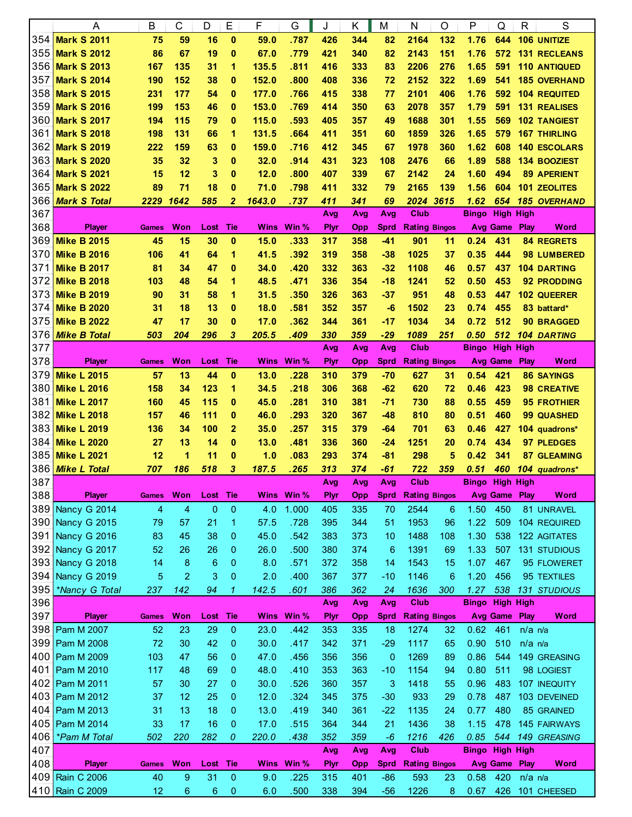|     | Α                                  | в              | С              | D               | Е                 | F            | G            | J           | Κ          | M                    | N                    | O       | P                      | Q                | R           | S                   |
|-----|------------------------------------|----------------|----------------|-----------------|-------------------|--------------|--------------|-------------|------------|----------------------|----------------------|---------|------------------------|------------------|-------------|---------------------|
| 354 | <b>Mark S 2011</b>                 | 75             | 59             | 16              | $\bf{0}$          | 59.0         | .787         | 426         | 344        | 82                   | 2164                 | 132     | 1.76                   | 644              |             | <b>106 UNITIZE</b>  |
| 355 | <b>Mark S 2012</b>                 | 86             | 67             | 19              | 0                 | 67.0         | .779         | 421         | 340        | 82                   | 2143                 | 151     | 1.76                   | 572              |             | <b>131 RECLEANS</b> |
| 356 | <b>Mark S 2013</b>                 | 167            | 135            | 31              | 1                 | 135.5        | .811         | 416         | 333        | 83                   | 2206                 | 276     | 1.65                   | 591              |             | <b>110 ANTIQUED</b> |
| 357 | <b>Mark S 2014</b>                 | 190            | 152            | 38              | 0                 | 152.0        | .800         | 408         | 336        | 72                   | 2152                 | 322     | 1.69                   | 541              |             | <b>185 OVERHAND</b> |
|     | 358 Mark S 2015                    | 231            | 177            | 54              | 0                 | 177.0        | .766         | 415         | 338        | 77                   | 2101                 | 406     | 1.76                   | 592              |             | <b>104 REQUITED</b> |
| 359 | <b>Mark S 2016</b>                 | 199            | 153            | 46              | 0                 | 153.0        | .769         | 414         | 350        | 63                   | 2078                 | 357     | 1.79                   | 591              |             | <b>131 REALISES</b> |
| 360 | <b>Mark S 2017</b>                 | 194            | 115            | 79              | 0                 | 115.0        | .593         | 405         | 357        | 49                   | 1688                 | 301     | 1.55                   | 569              |             | <b>102 TANGIEST</b> |
|     |                                    |                |                |                 |                   |              |              |             |            |                      |                      |         |                        |                  |             |                     |
| 361 | <b>Mark S 2018</b>                 | 198            | 131            | 66              | 1                 | 131.5        | .664         | 411         | 351        | 60                   | 1859                 | 326     | 1.65                   | 579              |             | <b>167 THIRLING</b> |
| 362 | <b>Mark S 2019</b>                 | 222            | 159            | 63              | 0                 | 159.0        | .716         | 412         | 345        | 67                   | 1978                 | 360     | 1.62                   | 608              |             | <b>140 ESCOLARS</b> |
| 363 | <b>Mark S 2020</b>                 | 35             | 32             | 3               | 0                 | 32.0         | .914         | 431         | 323        | 108                  | 2476                 | 66      | 1.89                   | 588              |             | <b>134 BOOZIEST</b> |
| 364 | <b>Mark S 2021</b>                 | 15             | 12             | 3               | 0                 | 12.0         | .800         | 407         | 339        | 67                   | 2142                 | 24      | 1.60                   | 494              |             | <b>89 APERIENT</b>  |
| 365 | <b>Mark S 2022</b>                 | 89             | 71             | 18              | 0                 | 71.0         | .798         | 411         | 332        | 79                   | 2165                 | 139     | 1.56                   | 604              |             | 101 ZEOLITES        |
| 366 | <b>Mark S Total</b>                | 2229           | 1642           | 585             | $\overline{2}$    | 1643.0       | .737         | 411         | 341        | 69                   | 2024 3615            |         | 1.62                   | 654              |             | <b>185 OVERHAND</b> |
| 367 |                                    |                |                |                 |                   |              |              | Avg         | Avg        | Avg                  | Club                 |         | <b>Bingo</b>           | <b>High High</b> |             |                     |
| 368 | <b>Player</b>                      | <b>Games</b>   | Won            | Lost            | Tie               | Wins         | Win $%$      | <b>Plyr</b> | Opp        | Sprd                 | <b>Rating Bingos</b> |         |                        | Avg Game Play    |             | Word                |
| 369 | <b>Mike B 2015</b>                 | 45             | 15             | 30              | 0                 | 15.0         | .333         | 317         | 358        | -41                  | 901                  | 11      | 0.24                   | 431              |             | <b>84 REGRETS</b>   |
| 370 | <b>Mike B 2016</b>                 | 106            | 41             | 64              | 1                 | 41.5         | .392         | 319         | 358        | -38                  | 1025                 | 37      | 0.35                   | 444              |             | 98 LUMBERED         |
| 371 | Mike B 2017                        | 81             | 34             | 47              | 0                 | 34.0         | .420         | 332         | 363        | $-32$                | 1108                 | 46      | 0.57                   | 437              |             | <b>104 DARTING</b>  |
| 372 | <b>Mike B 2018</b>                 | 103            | 48             | 54              | 1                 | 48.5         | .471         | 336         | 354        | $-18$                | 1241                 | 52      | 0.50                   | 453              |             | 92 PRODDING         |
| 373 | <b>Mike B 2019</b>                 | 90             | 31             | 58              | 1                 | 31.5         | .350         | 326         | 363        | -37                  | 951                  | 48      | 0.53                   | 447              |             | <b>102 QUEERER</b>  |
| 374 | <b>Mike B 2020</b>                 | 31             | 18             | 13              | 0                 | 18.0         | .581         | 352         | 357        | -6                   | 1502                 | 23      | 0.74                   | 455              |             | 83 battard*         |
| 375 | <b>Mike B 2022</b>                 | 47             | 17             | 30              | 0                 | 17.0         | .362         | 344         | 361        | $-17$                | 1034                 | 34      | 0.72                   | 512              |             | <b>90 BRAGGED</b>   |
| 376 | <b>Mike B Total</b>                | 503            | 204            | 296             | 3                 | 205.5        | .409         | 330         | 359        | $-29$                | 1089                 | 251     | 0.50                   | 512              |             | <b>104 DARTING</b>  |
| 377 |                                    |                |                |                 |                   |              |              | Avg         | Avg        | Avg                  | Club                 |         | <b>Bingo High High</b> |                  |             |                     |
| 378 | <b>Player</b>                      | <b>Games</b>   | Won            | Lost            | Tie               | <b>Wins</b>  | Win $%$      | <b>Plyr</b> | Opp        | Sprd                 | <b>Rating Bingos</b> |         |                        | Avg Game         | <b>Play</b> | Word                |
| 379 | Mike L 2015                        | 57             | 13             | 44              | 0                 | 13.0         | .228         | 310         | 379        | -70                  | 627                  | 31      | 0.54                   | 421              |             | <b>86 SAYINGS</b>   |
| 380 | <b>Mike L 2016</b>                 | 158            | 34             | 123             | 1                 | 34.5         | .218         | 306         | 368        | -62                  | 620                  | 72      | 0.46                   | 423              |             | <b>98 CREATIVE</b>  |
| 381 |                                    |                |                |                 |                   |              |              |             |            |                      |                      |         |                        |                  |             |                     |
|     | <b>Mike L 2017</b>                 | 160            | 45             | 115             | 0                 | 45.0         | .281         | 310         | 381        | -71                  | 730                  | 88      | 0.55                   | 459              |             | 95 FROTHIER         |
| 382 | <b>Mike L 2018</b>                 | 157            | 46             | 111             | 0                 | 46.0         | .293         | 320         | 367        | -48                  | 810                  | 80      | 0.51                   | 460              |             | 99 QUASHED          |
| 383 | <b>Mike L 2019</b>                 | 136            | 34             | 100             | 2                 | 35.0         | .257         | 315         | 379        | -64                  | 701                  | 63      | 0.46                   | 427              |             | 104 quadrons*       |
|     |                                    |                |                |                 |                   |              |              |             |            | $-24$                | 1251                 | 20      |                        |                  |             |                     |
| 384 | <b>Mike L 2020</b>                 | 27             | 13             | 14              | 0                 | 13.0         | .481         | 336         | 360        |                      |                      |         | 0.74                   | 434              |             | 97 PLEDGES          |
| 385 | <b>Mike L 2021</b>                 | 12             | 1              | 11              | 0                 | 1.0          | .083         | 293         | 374        | $-81$                | 298                  | 5       | 0.42                   | 341              |             | <b>87 GLEAMING</b>  |
| 386 | <b>Mike L Total</b>                | 707            | 186            | 518             | 3                 | 187.5        | .265         | 313         | 374        | -61                  | 722                  | 359     | 0.51                   | 460              |             | 104 quadrons*       |
| 387 |                                    |                |                |                 |                   |              |              | Avg         | Avg        | <b>Avg</b>           | Club                 |         | <b>Bingo</b>           | <b>High High</b> |             |                     |
| 388 | <b>Player</b>                      | <b>Games</b>   | Won            | Lost Tie        |                   |              | Wins Win %   | <b>Plyr</b> | <b>Opp</b> | Sprd                 | <b>Rating Bingos</b> |         |                        | Avg Game Play    |             | <b>Word</b>         |
|     | 389 Nancy G 2014                   | $\overline{4}$ | $\overline{4}$ | $\mathbf 0$     | 0                 | 4.0          | 1.000        | 405         | 335        | 70                   | 2544                 | 6       | 1.50                   | 450              |             | 81 UNRAVEL          |
|     | 390 Nancy G 2015                   | 79             | 57             | 21              | 1                 | 57.5         | .728         | 395         | 344        | 51                   | 1953                 | 96      | 1.22                   | 509              |             | 104 REQUIRED        |
|     | 391 Nancy G 2016                   | 83             | 45             | 38              | 0                 | 45.0         | .542         | 383         | 373        | 10                   | 1488                 | 108     | 1.30                   | 538              |             | 122 AGITATES        |
|     | 392 Nancy G 2017                   | 52             | 26             | 26              | 0                 | 26.0         | .500         | 380         | 374        | 6                    | 1391                 | 69      | 1.33                   | 507              |             | <b>131 STUDIOUS</b> |
|     | 393 Nancy G 2018                   | 14             | 8              | $6\phantom{1}6$ | 0                 | 8.0          | .571         | 372         | 358        | 14                   | 1543                 | 15      | 1.07                   | 467              |             | 95 FLOWERET         |
|     | 394 Nancy G 2019                   | $\sqrt{5}$     | 2              | 3               | 0                 | 2.0          | .400         | 367         | 377        | $-10$                | 1146                 | 6       | 1.20                   | 456              |             | 95 TEXTILES         |
| 395 | *Nancy G Total                     | 237            | 142            | 94              | 1                 | 142.5        | .601         | 386         | 362        | 24                   | 1636                 | 300     | 1.27                   | 538              |             | 131 STUDIOUS        |
| 396 |                                    |                |                |                 |                   |              |              | Avg         | Avg        | Avg                  | <b>Club</b>          |         | <b>Bingo High High</b> |                  |             |                     |
| 397 | <b>Player</b>                      | <b>Games</b>   | Won            | Lost            | Tie               | Wins         | Win %        | <b>Plyr</b> | <b>Opp</b> | Sprd                 | <b>Rating Bingos</b> |         |                        | Avg Game Play    |             | Word                |
|     | 398 Pam M 2007                     | 52             | 23             | 29              | 0                 | 23.0         | .442         | 353         | 335        | 18                   | 1274                 | 32      | 0.62                   | 461              | $n/a$ $n/a$ |                     |
|     |                                    | 72             | 30             |                 | 0                 |              |              |             |            |                      |                      | 65      |                        | 510              |             |                     |
|     | 399 Pam M 2008                     |                | 47             | 42<br>56        | 0                 | 30.0<br>47.0 | .417<br>.456 | 342<br>356  | 371        | $-29$<br>$\mathbf 0$ | 1117                 |         | 0.90<br>0.86           | 544              | $n/a$ $n/a$ |                     |
|     | 400 Pam M 2009                     | 103            |                |                 |                   |              |              |             | 356        |                      | 1269                 | 89      |                        |                  |             | 149 GREASING        |
|     | 401 Pam M 2010                     | 117            | 48             | 69              | 0                 | 48.0         | .410         | 353         | 363        | $-10$                | 1154                 | 94      | 0.80                   | 511              |             | 98 LOGIEST          |
|     | 402 Pam M 2011                     | 57             | 30             | 27              | 0                 | 30.0         | .526         | 360         | 357        | 3                    | 1418                 | 55      | 0.96                   | 483              |             | 107 INEQUITY        |
|     | 403 Pam M 2012                     | 37             | 12             | 25              | 0                 | 12.0         | .324         | 345         | 375        | $-30$                | 933                  | 29      | 0.78                   | 487              |             | 103 DEVEINED        |
|     | 404 Pam M 2013                     | 31             | 13             | 18              | 0                 | 13.0         | .419         | 340         | 361        | $-22$                | 1135                 | 24      | 0.77                   | 480              |             | 85 GRAINED          |
|     | 405 Pam M 2014                     | 33             | 17             | 16              | 0                 | 17.0         | .515         | 364         | 344        | 21                   | 1436                 | 38      | 1.15                   | 478              |             | 145 FAIRWAYS        |
|     | 406 *Pam M Total                   | 502            | 220            | 282             | 0                 | 220.0        | .438         | 352         | 359        | $-6$                 | 1216                 | 426     | 0.85                   | 544              |             | 149 GREASING        |
| 407 |                                    |                |                |                 |                   |              |              | Avg         | Avg        | Avg                  | Club                 |         | <b>Bingo High High</b> |                  |             |                     |
| 408 | <b>Player</b>                      | <b>Games</b>   | Won            | Lost Tie        |                   |              | Wins Win %   | <b>Plyr</b> | <b>Opp</b> | <b>Sprd</b>          | <b>Rating Bingos</b> |         |                        | Avg Game Play    |             | <b>Word</b>         |
|     | 409 Rain C 2006<br>410 Rain C 2009 | 40<br>12       | 9<br>6         | 31<br>6         | $\mathbf{0}$<br>0 | 9.0<br>6.0   | .225<br>.500 | 315<br>338  | 401<br>394 | $-86$<br>$-56$       | 593<br>1226          | 23<br>8 | 0.58<br>0.67           | 420<br>426       | $n/a$ $n/a$ | 101 CHEESED         |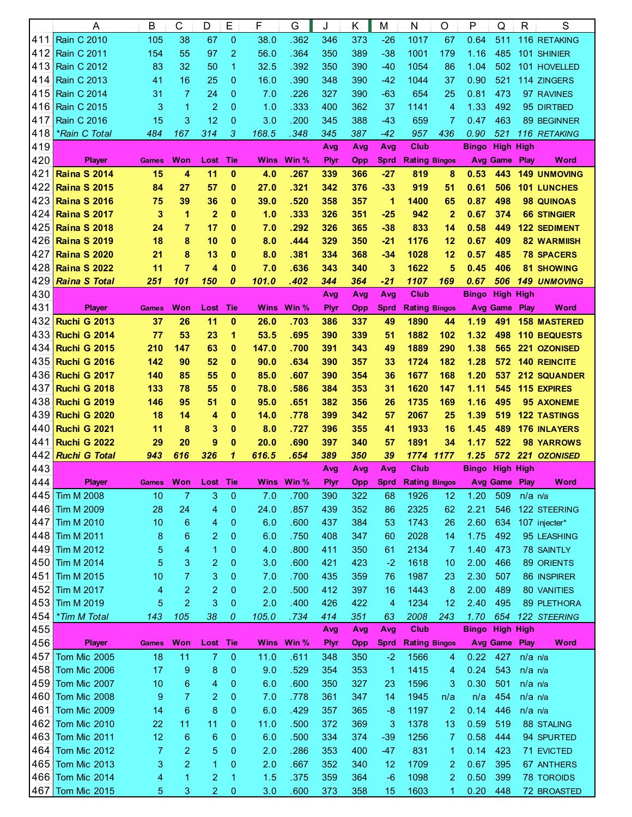|     | A                           | В            | $\mathsf{C}$   | D              | E            | F     | G          | J           | Κ   | М           | N                    | O              | P                      | Q                | R           | S                   |
|-----|-----------------------------|--------------|----------------|----------------|--------------|-------|------------|-------------|-----|-------------|----------------------|----------------|------------------------|------------------|-------------|---------------------|
| 411 | <b>Rain C 2010</b>          | 105          | 38             | 67             | $\mathbf 0$  | 38.0  | .362       | 346         | 373 | $-26$       | 1017                 | 67             | 0.64                   | 511              |             | 116 RETAKING        |
| 412 | <b>Rain C 2011</b>          | 154          | 55             | 97             | 2            | 56.0  | .364       | 350         | 389 | -38         | 1001                 | 179            | 1.16                   | 485              |             | 101 SHINIER         |
| 413 | <b>Rain C 2012</b>          | 83           | 32             | 50             | 1            | 32.5  | .392       | 350         | 390 | -40         | 1054                 | 86             | 1.04                   | 502              |             | 101 HOVELLED        |
| 414 | <b>Rain C 2013</b>          | 41           | 16             | 25             | 0            | 16.0  | .390       | 348         | 390 | -42         | 1044                 | 37             | 0.90                   | 521              |             | 114 ZINGERS         |
| 415 | <b>Rain C 2014</b>          | 31           | 7              | 24             | 0            | 7.0   | .226       | 327         | 390 | -63         | 654                  | 25             | 0.81                   | 473              |             | 97 RAVINES          |
| 416 | <b>Rain C 2015</b>          | 3            | 1              | $\overline{2}$ | 0            | 1.0   | .333       | 400         | 362 | 37          | 1141                 | 4              | 1.33                   | 492              |             | 95 DIRTBED          |
| 417 | <b>Rain C 2016</b>          | 15           | 3              | 12             | 0            | 3.0   | .200       | 345         | 388 | $-43$       | 659                  | 7              | 0.47                   | 463              |             | 89 BEGINNER         |
| 418 | <i><b>*Rain C Total</b></i> | 484          | 167            | 314            | 3            | 168.5 | .348       | 345         | 387 | $-42$       | 957                  | 436            | 0.90                   | 521              |             | 116 RETAKING        |
| 419 |                             |              |                |                |              |       |            | Avg         | Avg | Avg         | Club                 |                | <b>Bingo</b>           | High             | High        |                     |
| 420 | <b>Player</b>               | <b>Games</b> | Won            | Lost           | Tie          | Wins  | Win $%$    | <b>Plyr</b> | Opp | <b>Sprd</b> | <b>Rating Bingos</b> |                |                        | Avg Game         | <b>Play</b> | Word                |
| 421 | <b>Raina S 2014</b>         | 15           | 4              | 11             | $\bf{0}$     | 4.0   | .267       | 339         | 366 | -27         | 819                  | 8              | 0.53                   | 443              |             | <b>149 UNMOVING</b> |
| 422 | <b>Raina S 2015</b>         | 84           | 27             | 57             | 0            | 27.0  | .321       | 342         | 376 | -33         | 919                  | 51             | 0.61                   | 506              |             | <b>101 LUNCHES</b>  |
| 423 | <b>Raina S 2016</b>         | 75           | 39             | 36             | 0            | 39.0  | .520       | 358         | 357 | 1           | 1400                 | 65             | 0.87                   | 498              |             | 98 QUINOAS          |
| 424 | <b>Raina S 2017</b>         | 3            | 1              | $\mathbf{2}$   | 0            | 1.0   | .333       | 326         | 351 | $-25$       | 942                  | $\mathbf{2}$   | 0.67                   | 374              |             | <b>66 STINGIER</b>  |
| 425 | <b>Raina S 2018</b>         | 24           | 7              | 17             | 0            | 7.0   | .292       | 326         | 365 | $-38$       | 833                  | 14             | 0.58                   | 449              |             | <b>122 SEDIMENT</b> |
| 426 | <b>Raina S 2019</b>         | 18           | 8              | 10             | 0            | 8.0   | .444       | 329         | 350 | $-21$       | 1176                 | 12             | 0.67                   | 409              |             | <b>82 WARMIISH</b>  |
| 427 | <b>Raina S 2020</b>         | 21           | 8              | 13             | $\bf{0}$     | 8.0   | .381       | 334         | 368 | $-34$       | 1028                 | 12             | 0.57                   | 485              |             | <b>78 SPACERS</b>   |
| 428 | <b>Raina S 2022</b>         | 11           | 7              | 4              | 0            | 7.0   | .636       | 343         | 340 | 3           | 1622                 | 5              | 0.45                   | 406              |             | <b>81 SHOWING</b>   |
| 429 | <b>Raina S Total</b>        | 251          | 101            | 150            | 0            | 101.0 | .402       | 344         | 364 | $-21$       | 1107                 | 169            | 0.67                   | 506              |             | <b>149 UNMOVING</b> |
| 430 |                             |              |                |                |              |       |            | Avg         | Avg | Avg         | Club                 |                | <b>Bingo</b>           | <b>High High</b> |             |                     |
| 431 | <b>Player</b>               | <b>Games</b> | Won            | Lost           | Tie          | Wins  | Win %      | Plyr        | Opp | <b>Sprd</b> | <b>Rating Bingos</b> |                |                        | Avg Game Play    |             | Word                |
| 432 | Ruchi G 2013                | 37           | 26             | 11             | 0            | 26.0  | .703       | 386         | 337 | 49          | 1890                 | 44             | 1.19                   | 491              |             | <b>158 MASTERED</b> |
| 433 | <b>Ruchi G 2014</b>         | 77           | 53             | 23             | 1            | 53.5  | .695       | 390         | 339 | 51          | 1882                 | 102            | 1.32                   | 498              |             | <b>110 BEQUESTS</b> |
| 434 | Ruchi G 2015                | 210          | 147            | 63             | 0            | 147.0 | .700       | 391         | 343 | 49          | 1889                 | 290            | 1.38                   | 565              |             | 221 OZONISED        |
| 435 | <b>Ruchi G 2016</b>         | 142          | 90             | 52             | 0            | 90.0  | .634       | 390         | 357 | 33          | 1724                 | 182            | 1.28                   | 572              |             | <b>140 REINCITE</b> |
| 436 | Ruchi G 2017                | 140          | 85             | 55             | 0            | 85.0  | .607       | 390         | 354 | 36          | 1677                 | 168            | 1.20                   | 537              |             | 212 SQUANDER        |
| 437 | Ruchi G 2018                | 133          | 78             | 55             | 0            | 78.0  | .586       | 384         | 353 | 31          | 1620                 | 147            | 1.11                   | 545              |             | <b>115 EXPIRES</b>  |
| 438 | Ruchi G 2019                | 146          | 95             | 51             | 0            | 95.0  | .651       | 382         | 356 | 26          | 1735                 | 169            | 1.16                   | 495              |             | 95 AXONEME          |
| 439 | Ruchi G 2020                | 18           | 14             | 4              | 0            | 14.0  | .778       | 399         | 342 | 57          | 2067                 | 25             | 1.39                   | 519              |             | <b>122 TASTINGS</b> |
| 440 | Ruchi G 2021                | 11           | 8              | 3              | 0            | 8.0   | .727       | 396         | 355 | 41          | 1933                 | 16             | 1.45                   | 489              |             | <b>176 INLAYERS</b> |
| 441 | Ruchi G 2022                | 29           | 20             | 9              | 0            | 20.0  | .690       | 397         | 340 | 57          | 1891                 | 34             | 1.17                   | 522              |             | <b>98 YARROWS</b>   |
| 442 | <b>Ruchi G Total</b>        | 943          | 616            | 326            | 1            | 616.5 | .654       | 389         | 350 | 39          | 1774 1177            |                | 1.25                   | 572              |             | 221 OZONISED        |
| 443 |                             |              |                |                |              |       |            | Avg         | Avg | Avg         | Club                 |                | <b>Bingo</b>           | <b>High High</b> |             |                     |
| 444 | <b>Player</b>               | Games Won    |                | Lost Tie       |              |       | Wins Win % | Plyr        | Opp | <b>Sprd</b> | <b>Rating Bingos</b> |                |                        | Avg Game Play    |             | Word                |
| 445 | <b>Tim M 2008</b>           | 10           | $\overline{7}$ | 3              | $\mathbf 0$  | 7.0   | .700       | 390         | 322 | 68          | 1926                 | 12             | 1.20                   | 509              | $n/a$ $n/a$ |                     |
| 446 | <b>Tim M 2009</b>           | 28           | 24             | 4              | 0            | 24.0  | .857       | 439         | 352 | 86          | 2325                 | 62             | 2.21                   | 546              |             | 122 STEERING        |
| 447 | <b>Tim M 2010</b>           | 10           | 6              | 4              | $\mathbf 0$  | 6.0   | .600       | 437         | 384 | 53          | 1743                 | 26             | 2.60                   | 634              |             | 107 injecter*       |
| 448 | <b>Tim M 2011</b>           | 8            | 6              | 2              | 0            | 6.0   | .750       | 408         | 347 | 60          | 2028                 | 14             | 1.75                   | 492              |             | 95 LEASHING         |
| 449 | <b>Tim M 2012</b>           | 5            | 4              | 1              | 0            | 4.0   | .800       | 411         | 350 | 61          | 2134                 | -7             | 1.40                   | 473              |             | <b>78 SAINTLY</b>   |
| 450 | <b>Tim M 2014</b>           | 5            | 3              | 2              | $\mathbf{0}$ | 3.0   | .600       | 421         | 423 | $-2$        | 1618                 | 10             | 2.00                   | 466              |             | 89 ORIENTS          |
| 451 | <b>Tim M 2015</b>           | 10           | 7              | 3              | 0            | 7.0   | .700       | 435         | 359 | 76          | 1987                 | 23             | 2.30                   | 507              |             | 86 INSPIRER         |
| 452 | <b>Tim M 2017</b>           | 4            | $\overline{c}$ | 2              | 0            | 2.0   | .500       | 412         | 397 | 16          | 1443                 | 8              | 2.00                   | 489              |             | <b>80 VANITIES</b>  |
| 453 | <b>Tim M 2019</b>           | 5            | $\overline{2}$ | 3              | 0            | 2.0   | .400       | 426         | 422 | 4           | 1234                 | 12             | 2.40                   | 495              |             | 89 PLETHORA         |
| 454 | <i>*Tim M Total</i>         | 143          | 105            | 38             | 0            | 105.0 | .734       | 414         | 351 | 63          | 2008                 | 243            | 1.70                   | 654              |             | 122 STEERING        |
| 455 |                             |              |                |                |              |       |            | Avg         | Avg | Avg         | Club                 |                | <b>Bingo High High</b> |                  |             |                     |
| 456 | <b>Player</b>               | <b>Games</b> | Won            | Lost Tie       |              | Wins  | Win %      | <b>Plyr</b> | Opp | <b>Sprd</b> | <b>Rating Bingos</b> |                |                        | Avg Game Play    |             | Word                |
| 457 | Tom Mic 2005                | 18           | 11             | 7              | $\mathbf 0$  | 11.0  | .611       | 348         | 350 | $-2$        | 1566                 | 4              | 0.22                   | 427              | $n/a$ $n/a$ |                     |
| 458 | Tom Mic 2006                | 17           | 9              | 8              | 0            | 9.0   | .529       | 354         | 353 | 1           | 1415                 | 4              | 0.24                   | 543              | $n/a$ $n/a$ |                     |
| 459 | Tom Mic 2007                | 10           | 6              | 4              | 0            | 6.0   | .600       | 350         | 327 | 23          | 1596                 | 3              | 0.30                   | 501              | $n/a$ $n/a$ |                     |
| 460 | Tom Mic 2008                | 9            | 7              | 2              | 0            | 7.0   | .778       | 361         | 347 | 14          | 1945                 | n/a            | n/a                    | 454              | $n/a$ $n/a$ |                     |
| 461 | Tom Mic 2009                | 14           | 6              | 8              | 0            | 6.0   | .429       | 357         | 365 | -8          | 1197                 | $\overline{2}$ | 0.14                   | 446              | $n/a$ $n/a$ |                     |
| 462 | Tom Mic 2010                | 22           | 11             | 11             | $\bf{0}$     | 11.0  | .500       | 372         | 369 | 3           | 1378                 | 13             | 0.59                   | 519              |             | 88 STALING          |
| 463 | Tom Mic 2011                | 12           | 6              | 6              | 0            | 6.0   | .500       | 334         | 374 | $-39$       | 1256                 | 7              | 0.58                   | 444              |             | 94 SPURTED          |
| 464 | Tom Mic 2012                | 7            | $\overline{2}$ | 5              | 0            | 2.0   | .286       | 353         | 400 | $-47$       | 831                  | 1              | 0.14                   | 423              |             | 71 EVICTED          |
| 465 | Tom Mic 2013                | 3            | $\overline{c}$ | 1              | 0            | 2.0   | .667       | 352         | 340 | 12          | 1709                 | 2              | 0.67                   | 395              |             | <b>67 ANTHERS</b>   |
|     |                             |              |                |                |              |       |            |             |     |             |                      |                |                        |                  |             |                     |
| 466 | Tom Mic 2014                | 4            | 1              | 2              | 1            | 1.5   | .375       | 359         | 364 | $-6$        | 1098                 | 2              | 0.50                   | 399              |             | <b>78 TOROIDS</b>   |